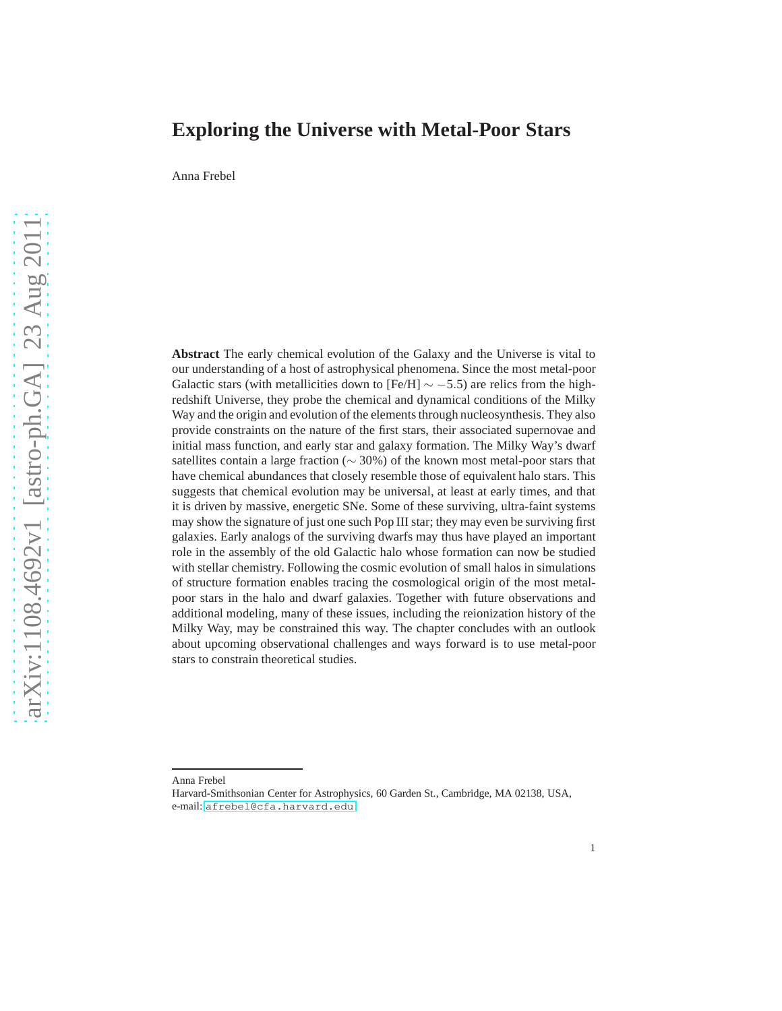# **Exploring the Universe with Metal-Poor Stars**

Anna Frebel

**Abstract** The early chemical evolution of the Galaxy and the Universe is vital to our understanding of a host of astrophysical phenomena. Since the most metal-poor Galactic stars (with metallicities down to [Fe/H]  $\sim$  −5.5) are relics from the highredshift Universe, they probe the chemical and dynamical conditions of the Milky Way and the origin and evolution of the elements through nucleosynthesis. They also provide constraints on the nature of the first stars, their associated supernovae and initial mass function, and early star and galaxy formation. The Milky Way's dwarf satellites contain a large fraction (∼ 30%) of the known most metal-poor stars that have chemical abundances that closely resemble those of equivalent halo stars. This suggests that chemical evolution may be universal, at least at early times, and that it is driven by massive, energetic SNe. Some of these surviving, ultra-faint systems may show the signature of just one such Pop III star; they may even be surviving first galaxies. Early analogs of the surviving dwarfs may thus have played an important role in the assembly of the old Galactic halo whose formation can now be studied with stellar chemistry. Following the cosmic evolution of small halos in simulations of structure formation enables tracing the cosmological origin of the most metalpoor stars in the halo and dwarf galaxies. Together with future observations and additional modeling, many of these issues, including the reionization history of the Milky Way, may be constrained this way. The chapter concludes with an outlook about upcoming observational challenges and ways forward is to use metal-poor stars to constrain theoretical studies.

Anna Frebel

Harvard-Smithsonian Center for Astrophysics, 60 Garden St., Cambridge, MA 02138, USA, e-mail: <afrebel@cfa.harvard.edu>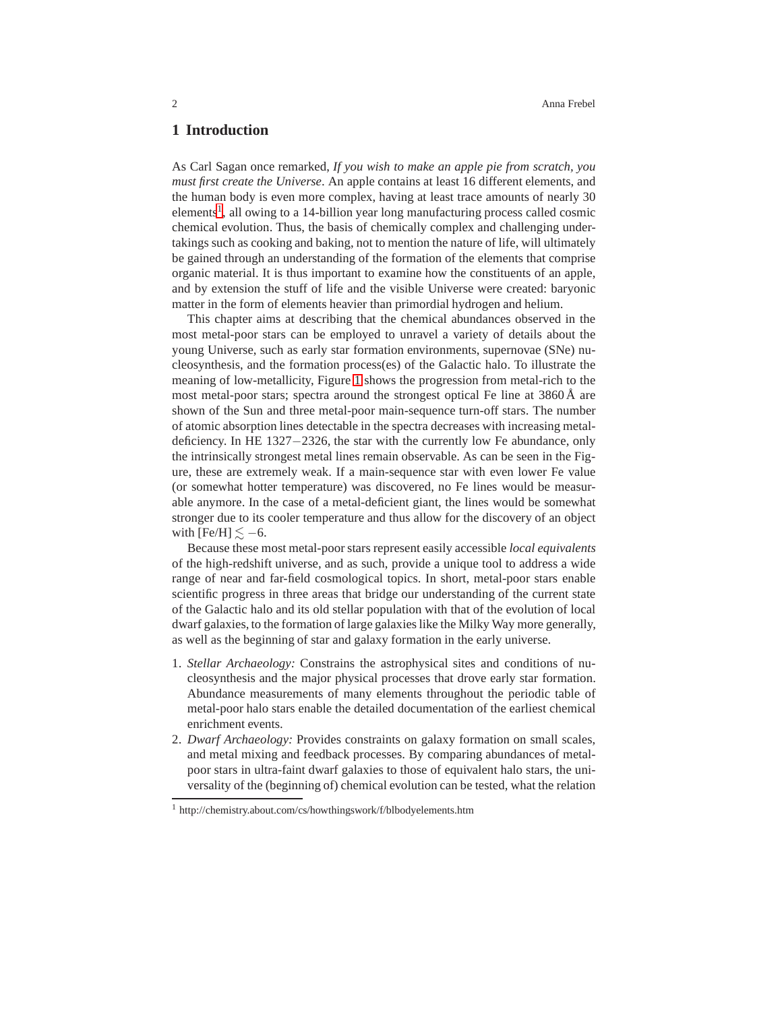# **1 Introduction**

As Carl Sagan once remarked, *If you wish to make an apple pie from scratch, you must first create the Universe*. An apple contains at least 16 different elements, and the human body is even more complex, having at least trace amounts of nearly 30 elements<sup>[1](#page-1-0)</sup>, all owing to a 14-billion year long manufacturing process called cosmic chemical evolution. Thus, the basis of chemically complex and challenging undertakings such as cooking and baking, not to mention the nature of life, will ultimately be gained through an understanding of the formation of the elements that comprise organic material. It is thus important to examine how the constituents of an apple, and by extension the stuff of life and the visible Universe were created: baryonic matter in the form of elements heavier than primordial hydrogen and helium.

This chapter aims at describing that the chemical abundances observed in the most metal-poor stars can be employed to unravel a variety of details about the young Universe, such as early star formation environments, supernovae (SNe) nucleosynthesis, and the formation process(es) of the Galactic halo. To illustrate the meaning of low-metallicity, Figure [1](#page-3-0) shows the progression from metal-rich to the most metal-poor stars; spectra around the strongest optical Fe line at  $3860 \text{\AA}$  are shown of the Sun and three metal-poor main-sequence turn-off stars. The number of atomic absorption lines detectable in the spectra decreases with increasing metaldeficiency. In HE 1327−2326, the star with the currently low Fe abundance, only the intrinsically strongest metal lines remain observable. As can be seen in the Figure, these are extremely weak. If a main-sequence star with even lower Fe value (or somewhat hotter temperature) was discovered, no Fe lines would be measurable anymore. In the case of a metal-deficient giant, the lines would be somewhat stronger due to its cooler temperature and thus allow for the discovery of an object with  $[Fe/H] \le -6$ .

Because these most metal-poor stars represent easily accessible *local equivalents* of the high-redshift universe, and as such, provide a unique tool to address a wide range of near and far-field cosmological topics. In short, metal-poor stars enable scientific progress in three areas that bridge our understanding of the current state of the Galactic halo and its old stellar population with that of the evolution of local dwarf galaxies, to the formation of large galaxies like the Milky Way more generally, as well as the beginning of star and galaxy formation in the early universe.

- 1. *Stellar Archaeology:* Constrains the astrophysical sites and conditions of nucleosynthesis and the major physical processes that drove early star formation. Abundance measurements of many elements throughout the periodic table of metal-poor halo stars enable the detailed documentation of the earliest chemical enrichment events.
- 2. *Dwarf Archaeology:* Provides constraints on galaxy formation on small scales, and metal mixing and feedback processes. By comparing abundances of metalpoor stars in ultra-faint dwarf galaxies to those of equivalent halo stars, the universality of the (beginning of) chemical evolution can be tested, what the relation

<span id="page-1-0"></span><sup>1</sup> http://chemistry.about.com/cs/howthingswork/f/blbodyelements.htm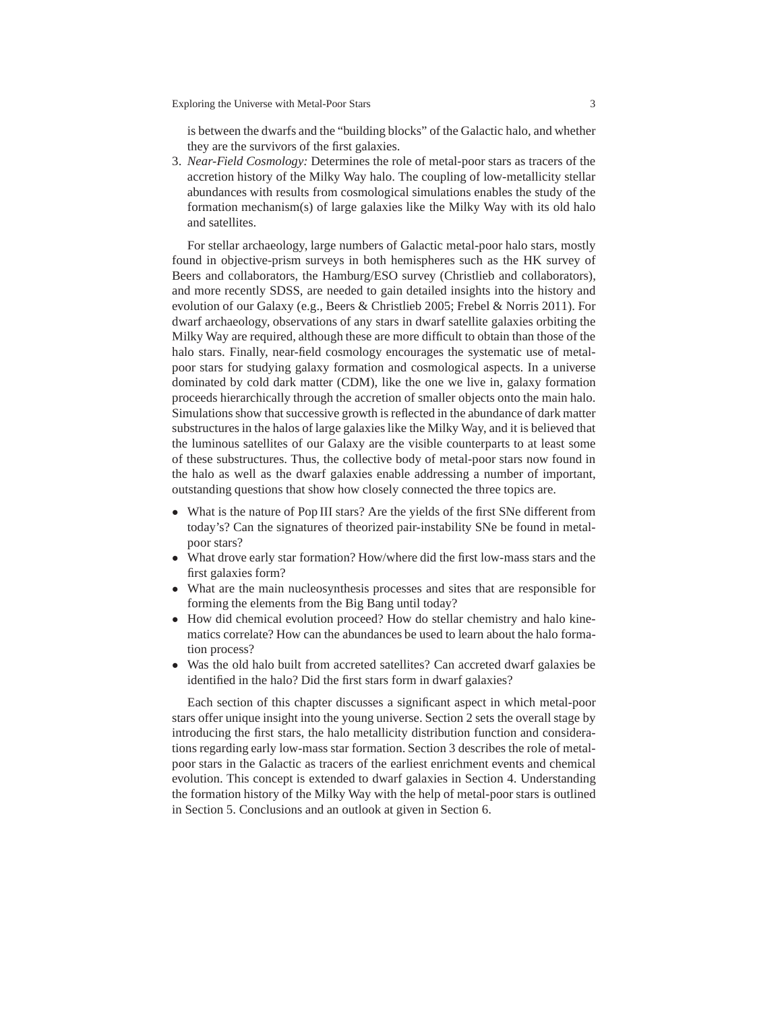is between the dwarfs and the "building blocks" of the Galactic halo, and whether they are the survivors of the first galaxies.

3. *Near-Field Cosmology:* Determines the role of metal-poor stars as tracers of the accretion history of the Milky Way halo. The coupling of low-metallicity stellar abundances with results from cosmological simulations enables the study of the formation mechanism(s) of large galaxies like the Milky Way with its old halo and satellites.

For stellar archaeology, large numbers of Galactic metal-poor halo stars, mostly found in objective-prism surveys in both hemispheres such as the HK survey of Beers and collaborators, the Hamburg/ESO survey (Christlieb and collaborators), and more recently SDSS, are needed to gain detailed insights into the history and evolution of our Galaxy (e.g., Beers & Christlieb 2005; Frebel & Norris 2011). For dwarf archaeology, observations of any stars in dwarf satellite galaxies orbiting the Milky Way are required, although these are more difficult to obtain than those of the halo stars. Finally, near-field cosmology encourages the systematic use of metalpoor stars for studying galaxy formation and cosmological aspects. In a universe dominated by cold dark matter (CDM), like the one we live in, galaxy formation proceeds hierarchically through the accretion of smaller objects onto the main halo. Simulations show that successive growth is reflected in the abundance of dark matter substructures in the halos of large galaxies like the Milky Way, and it is believed that the luminous satellites of our Galaxy are the visible counterparts to at least some of these substructures. Thus, the collective body of metal-poor stars now found in the halo as well as the dwarf galaxies enable addressing a number of important, outstanding questions that show how closely connected the three topics are.

- What is the nature of Pop III stars? Are the yields of the first SNe different from today's? Can the signatures of theorized pair-instability SNe be found in metalpoor stars?
- What drove early star formation? How/where did the first low-mass stars and the first galaxies form?
- What are the main nucleosynthesis processes and sites that are responsible for forming the elements from the Big Bang until today?
- How did chemical evolution proceed? How do stellar chemistry and halo kinematics correlate? How can the abundances be used to learn about the halo formation process?
- Was the old halo built from accreted satellites? Can accreted dwarf galaxies be identified in the halo? Did the first stars form in dwarf galaxies?

Each section of this chapter discusses a significant aspect in which metal-poor stars offer unique insight into the young universe. Section 2 sets the overall stage by introducing the first stars, the halo metallicity distribution function and considerations regarding early low-mass star formation. Section 3 describes the role of metalpoor stars in the Galactic as tracers of the earliest enrichment events and chemical evolution. This concept is extended to dwarf galaxies in Section 4. Understanding the formation history of the Milky Way with the help of metal-poor stars is outlined in Section 5. Conclusions and an outlook at given in Section 6.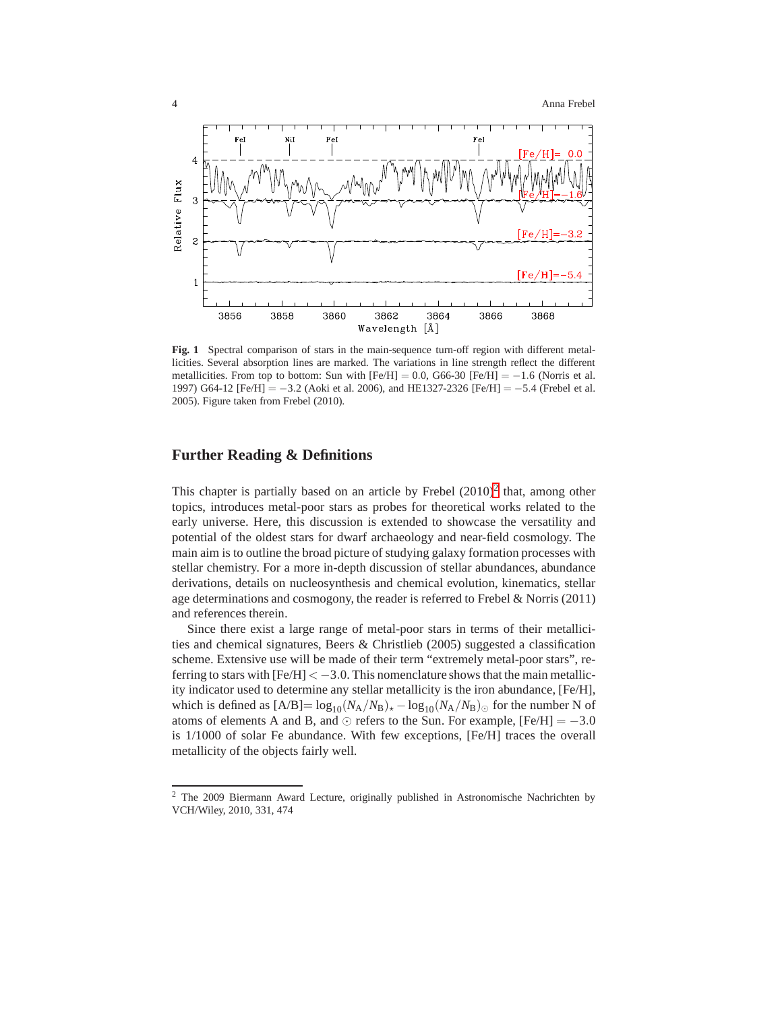

<span id="page-3-0"></span>**Fig. 1** Spectral comparison of stars in the main-sequence turn-off region with different metallicities. Several absorption lines are marked. The variations in line strength reflect the different metallicities. From top to bottom: Sun with  $[Fe/H] = 0.0$ , G66-30  $[Fe/H] = -1.6$  (Norris et al. 1997) G64-12 [Fe/H] = −3.2 (Aoki et al. 2006), and HE1327-2326 [Fe/H] = −5.4 (Frebel et al. 2005). Figure taken from Frebel (2010).

# **Further Reading & Definitions**

This chapter is partially based on an article by Frebel  $(2010)^2$  $(2010)^2$  $(2010)^2$  that, among other topics, introduces metal-poor stars as probes for theoretical works related to the early universe. Here, this discussion is extended to showcase the versatility and potential of the oldest stars for dwarf archaeology and near-field cosmology. The main aim is to outline the broad picture of studying galaxy formation processes with stellar chemistry. For a more in-depth discussion of stellar abundances, abundance derivations, details on nucleosynthesis and chemical evolution, kinematics, stellar age determinations and cosmogony, the reader is referred to Frebel & Norris (2011) and references therein.

Since there exist a large range of metal-poor stars in terms of their metallicities and chemical signatures, Beers & Christlieb (2005) suggested a classification scheme. Extensive use will be made of their term "extremely metal-poor stars", referring to stars with  $[Fe/H] < -3.0$ . This nomenclature shows that the main metallicity indicator used to determine any stellar metallicity is the iron abundance, [Fe/H], which is defined as  $[A/B] = log_{10}(N_A/N_B)_\star - log_{10}(N_A/N_B)_\odot$  for the number N of atoms of elements A and B, and  $\odot$  refers to the Sun. For example, [Fe/H] = -3.0 is 1/1000 of solar Fe abundance. With few exceptions, [Fe/H] traces the overall metallicity of the objects fairly well.

<span id="page-3-1"></span><sup>2</sup> The 2009 Biermann Award Lecture, originally published in Astronomische Nachrichten by VCH/Wiley, 2010, 331, 474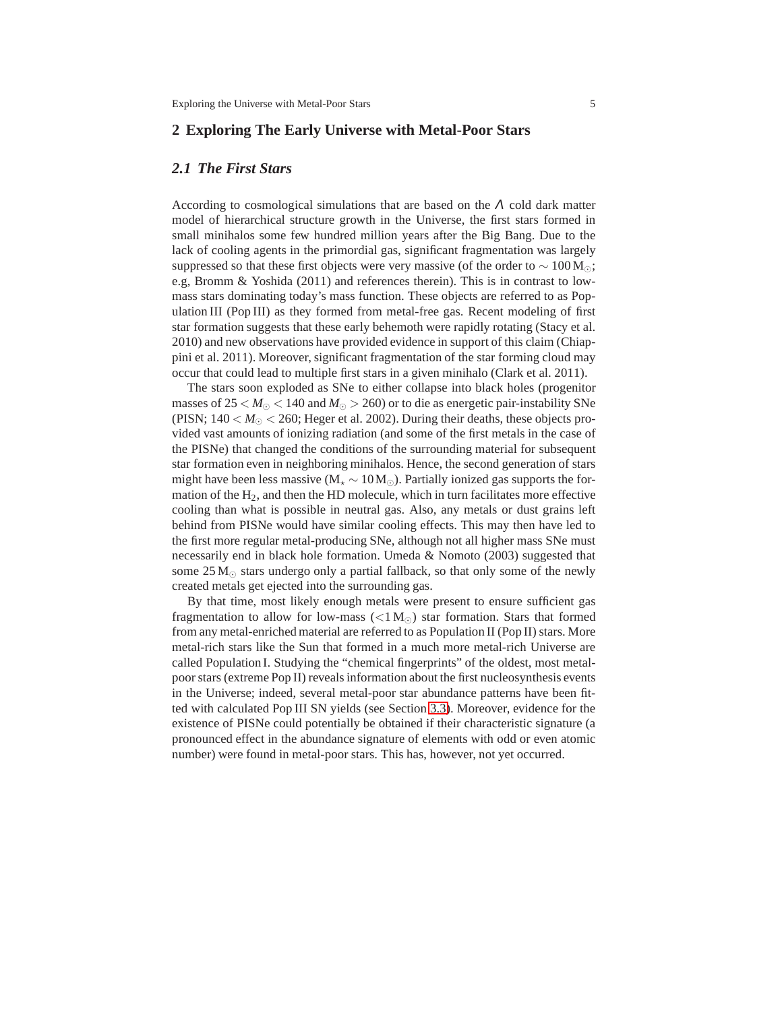# **2 Exploring The Early Universe with Metal-Poor Stars**

### *2.1 The First Stars*

According to cosmological simulations that are based on the  $\Lambda$  cold dark matter model of hierarchical structure growth in the Universe, the first stars formed in small minihalos some few hundred million years after the Big Bang. Due to the lack of cooling agents in the primordial gas, significant fragmentation was largely suppressed so that these first objects were very massive (of the order to  $\sim 100 \,\mathrm{M}_{\odot}$ ; e.g, Bromm & Yoshida (2011) and references therein). This is in contrast to lowmass stars dominating today's mass function. These objects are referred to as Population III (Pop III) as they formed from metal-free gas. Recent modeling of first star formation suggests that these early behemoth were rapidly rotating (Stacy et al. 2010) and new observations have provided evidence in support of this claim (Chiappini et al. 2011). Moreover, significant fragmentation of the star forming cloud may occur that could lead to multiple first stars in a given minihalo (Clark et al. 2011).

The stars soon exploded as SNe to either collapse into black holes (progenitor masses of  $25 < M_{\odot} < 140$  and  $M_{\odot} > 260$ ) or to die as energetic pair-instability SNe (PISN;  $140 < M_{\odot} < 260$ ; Heger et al. 2002). During their deaths, these objects provided vast amounts of ionizing radiation (and some of the first metals in the case of the PISNe) that changed the conditions of the surrounding material for subsequent star formation even in neighboring minihalos. Hence, the second generation of stars might have been less massive ( $M_{\star} \sim 10 M_{\odot}$ ). Partially ionized gas supports the formation of the  $H_2$ , and then the HD molecule, which in turn facilitates more effective cooling than what is possible in neutral gas. Also, any metals or dust grains left behind from PISNe would have similar cooling effects. This may then have led to the first more regular metal-producing SNe, although not all higher mass SNe must necessarily end in black hole formation. Umeda & Nomoto (2003) suggested that some 25  $M_{\odot}$  stars undergo only a partial fallback, so that only some of the newly created metals get ejected into the surrounding gas.

By that time, most likely enough metals were present to ensure sufficient gas fragmentation to allow for low-mass ( $\langle 1 \text{ M}_\odot \rangle$ ) star formation. Stars that formed from any metal-enriched material are referred to as Population II (Pop II) stars. More metal-rich stars like the Sun that formed in a much more metal-rich Universe are called Population I. Studying the "chemical fingerprints" of the oldest, most metalpoor stars (extreme Pop II) reveals information about the first nucleosynthesis events in the Universe; indeed, several metal-poor star abundance patterns have been fitted with calculated Pop III SN yields (see Section [3.3\)](#page-14-0). Moreover, evidence for the existence of PISNe could potentially be obtained if their characteristic signature (a pronounced effect in the abundance signature of elements with odd or even atomic number) were found in metal-poor stars. This has, however, not yet occurred.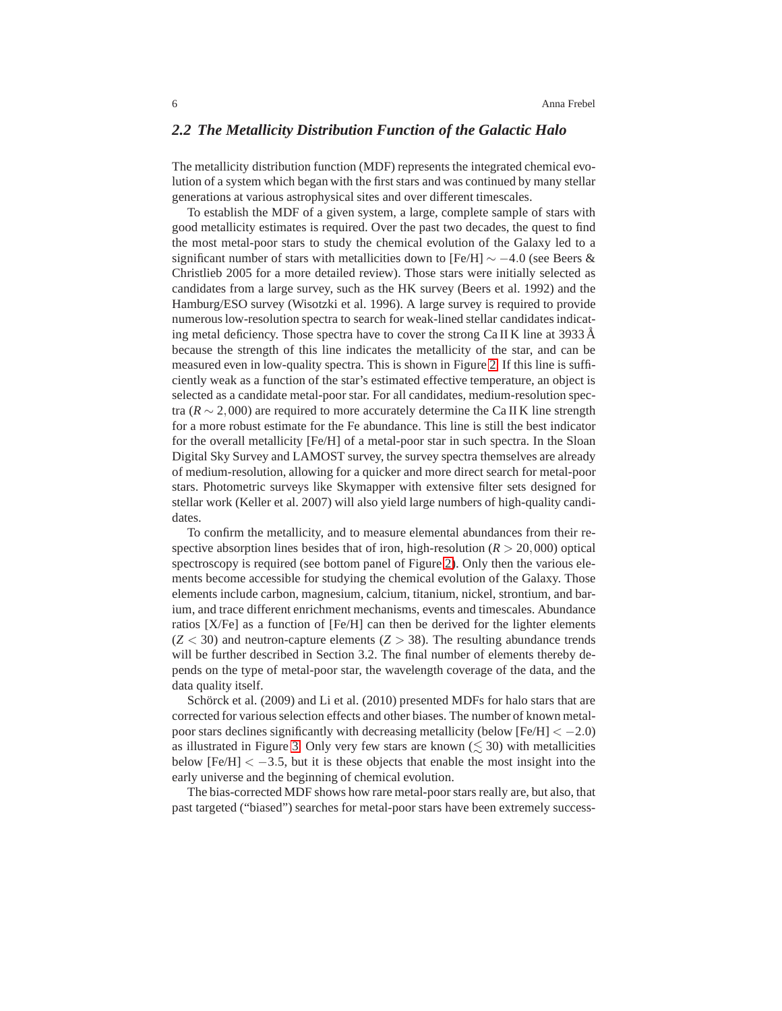### *2.2 The Metallicity Distribution Function of the Galactic Halo*

The metallicity distribution function (MDF) represents the integrated chemical evolution of a system which began with the first stars and was continued by many stellar generations at various astrophysical sites and over different timescales.

To establish the MDF of a given system, a large, complete sample of stars with good metallicity estimates is required. Over the past two decades, the quest to find the most metal-poor stars to study the chemical evolution of the Galaxy led to a significant number of stars with metallicities down to [Fe/H]  $\sim -4.0$  (see Beers & Christlieb 2005 for a more detailed review). Those stars were initially selected as candidates from a large survey, such as the HK survey (Beers et al. 1992) and the Hamburg/ESO survey (Wisotzki et al. 1996). A large survey is required to provide numerous low-resolution spectra to search for weak-lined stellar candidates indicating metal deficiency. Those spectra have to cover the strong Ca II K line at 3933  $\AA$ because the strength of this line indicates the metallicity of the star, and can be measured even in low-quality spectra. This is shown in Figure [2.](#page-6-0) If this line is sufficiently weak as a function of the star's estimated effective temperature, an object is selected as a candidate metal-poor star. For all candidates, medium-resolution spectra ( $R \sim 2,000$ ) are required to more accurately determine the Ca II K line strength for a more robust estimate for the Fe abundance. This line is still the best indicator for the overall metallicity [Fe/H] of a metal-poor star in such spectra. In the Sloan Digital Sky Survey and LAMOST survey, the survey spectra themselves are already of medium-resolution, allowing for a quicker and more direct search for metal-poor stars. Photometric surveys like Skymapper with extensive filter sets designed for stellar work (Keller et al. 2007) will also yield large numbers of high-quality candidates.

To confirm the metallicity, and to measure elemental abundances from their respective absorption lines besides that of iron, high-resolution  $(R > 20,000)$  optical spectroscopy is required (see bottom panel of Figure [2\)](#page-6-0). Only then the various elements become accessible for studying the chemical evolution of the Galaxy. Those elements include carbon, magnesium, calcium, titanium, nickel, strontium, and barium, and trace different enrichment mechanisms, events and timescales. Abundance ratios [X/Fe] as a function of [Fe/H] can then be derived for the lighter elements  $(Z < 30)$  and neutron-capture elements  $(Z > 38)$ . The resulting abundance trends will be further described in Section 3.2. The final number of elements thereby depends on the type of metal-poor star, the wavelength coverage of the data, and the data quality itself.

Schörck et al. (2009) and Li et al. (2010) presented MDFs for halo stars that are corrected for various selection effects and other biases. The number of known metalpoor stars declines significantly with decreasing metallicity (below  $[Fe/H] < -2.0$ ) as illustrated in Figure [3.](#page-7-0) Only very few stars are known ( $\leq$  30) with metallicities below  $[Fe/H] < -3.5$ , but it is these objects that enable the most insight into the early universe and the beginning of chemical evolution.

The bias-corrected MDF shows how rare metal-poor stars really are, but also, that past targeted ("biased") searches for metal-poor stars have been extremely success-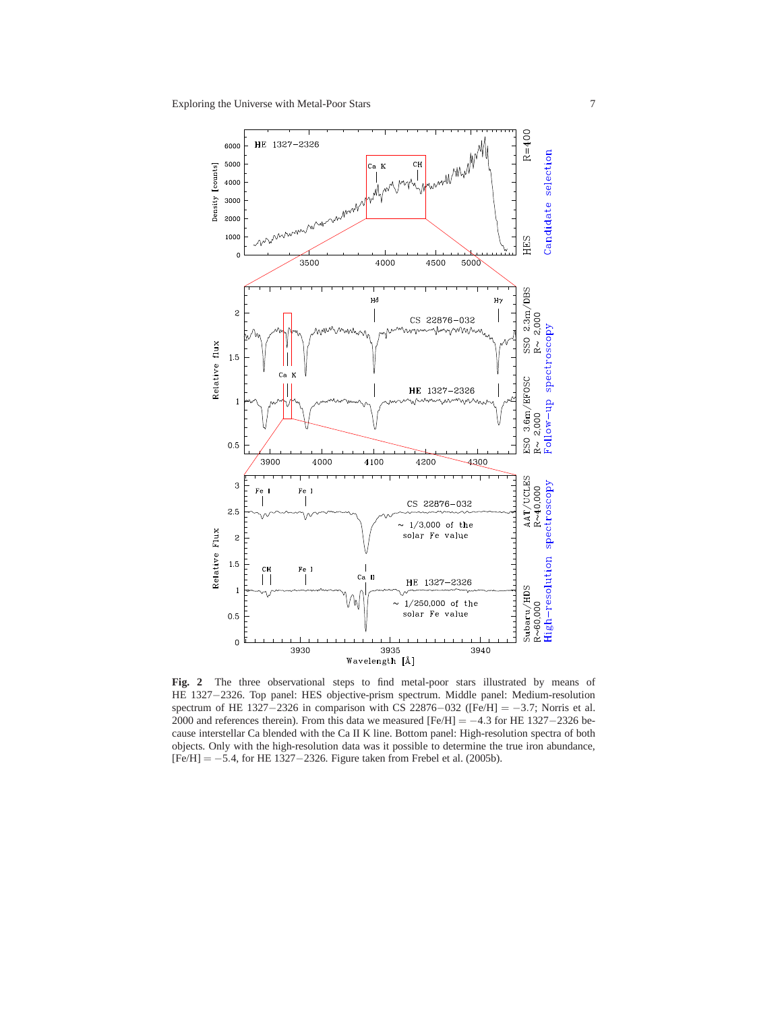

<span id="page-6-0"></span>**Fig. 2** The three observational steps to find metal-poor stars illustrated by means of HE 1327−2326. Top panel: HES objective-prism spectrum. Middle panel: Medium-resolution spectrum of HE 1327–2326 in comparison with CS 22876–032 ([Fe/H] = −3.7; Norris et al. 2000 and references therein). From this data we measured  $[Fe/H] = -4.3$  for HE 1327-2326 because interstellar Ca blended with the Ca II K line. Bottom panel: High-resolution spectra of both objects. Only with the high-resolution data was it possible to determine the true iron abundance, [Fe/H] = −5.4, for HE 1327−2326. Figure taken from Frebel et al. (2005b).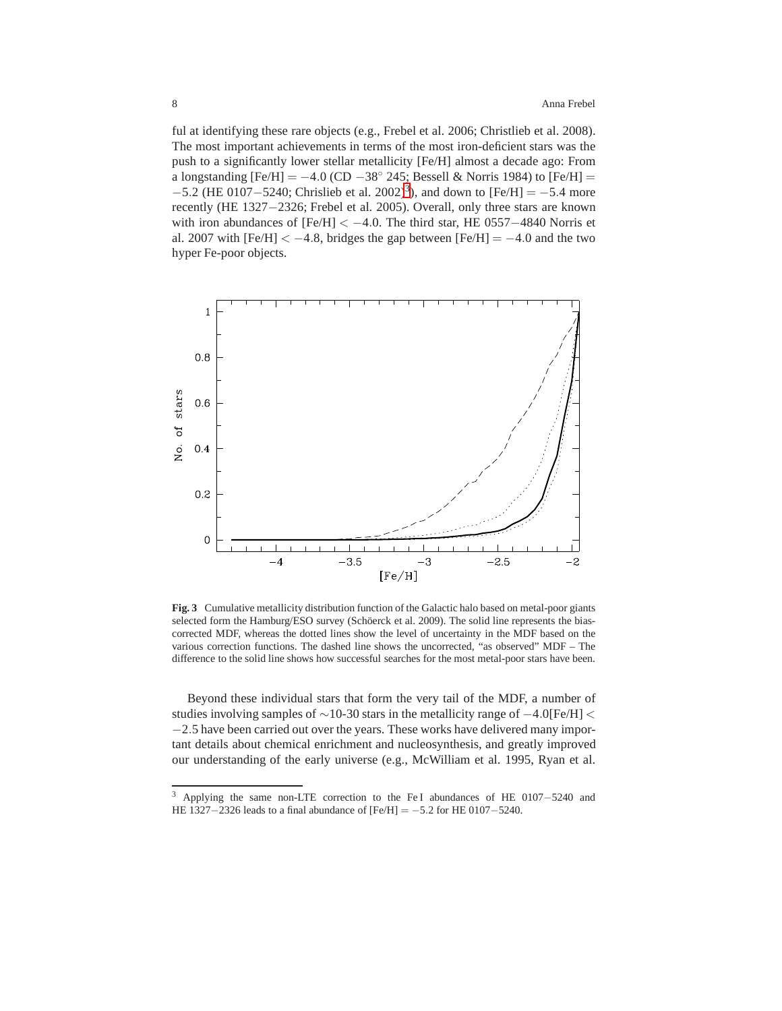ful at identifying these rare objects (e.g., Frebel et al. 2006; Christlieb et al. 2008). The most important achievements in terms of the most iron-deficient stars was the push to a significantly lower stellar metallicity [Fe/H] almost a decade ago: From a longstanding [Fe/H] =  $-4.0$  (CD  $-38°$  245; Bessell & Norris 1984) to [Fe/H] =  $-5.2$  (HE 0107 $-5240$ ; Chrislieb et al. 2002)<sup>[3](#page-7-1)</sup>), and down to [Fe/H] =  $-5.4$  more recently (HE 1327−2326; Frebel et al. 2005). Overall, only three stars are known with iron abundances of [Fe/H] < -4.0. The third star, HE 0557-4840 Norris et al. 2007 with  $[Fe/H] < -4.8$ , bridges the gap between  $[Fe/H] = -4.0$  and the two hyper Fe-poor objects.



<span id="page-7-0"></span>**Fig. 3** Cumulative metallicity distribution function of the Galactic halo based on metal-poor giants selected form the Hamburg/ESO survey (Schöerck et al. 2009). The solid line represents the biascorrected MDF, whereas the dotted lines show the level of uncertainty in the MDF based on the various correction functions. The dashed line shows the uncorrected, "as observed" MDF – The difference to the solid line shows how successful searches for the most metal-poor stars have been.

Beyond these individual stars that form the very tail of the MDF, a number of studies involving samples of  $\sim$ 10-30 stars in the metallicity range of −4.0[Fe/H]  $<$ −2.5 have been carried out over the years. These works have delivered many important details about chemical enrichment and nucleosynthesis, and greatly improved our understanding of the early universe (e.g., McWilliam et al. 1995, Ryan et al.

<span id="page-7-1"></span><sup>&</sup>lt;sup>3</sup> Applying the same non-LTE correction to the Fe I abundances of HE 0107-5240 and HE 1327−2326 leads to a final abundance of [Fe/H] = −5.2 for HE 0107−5240.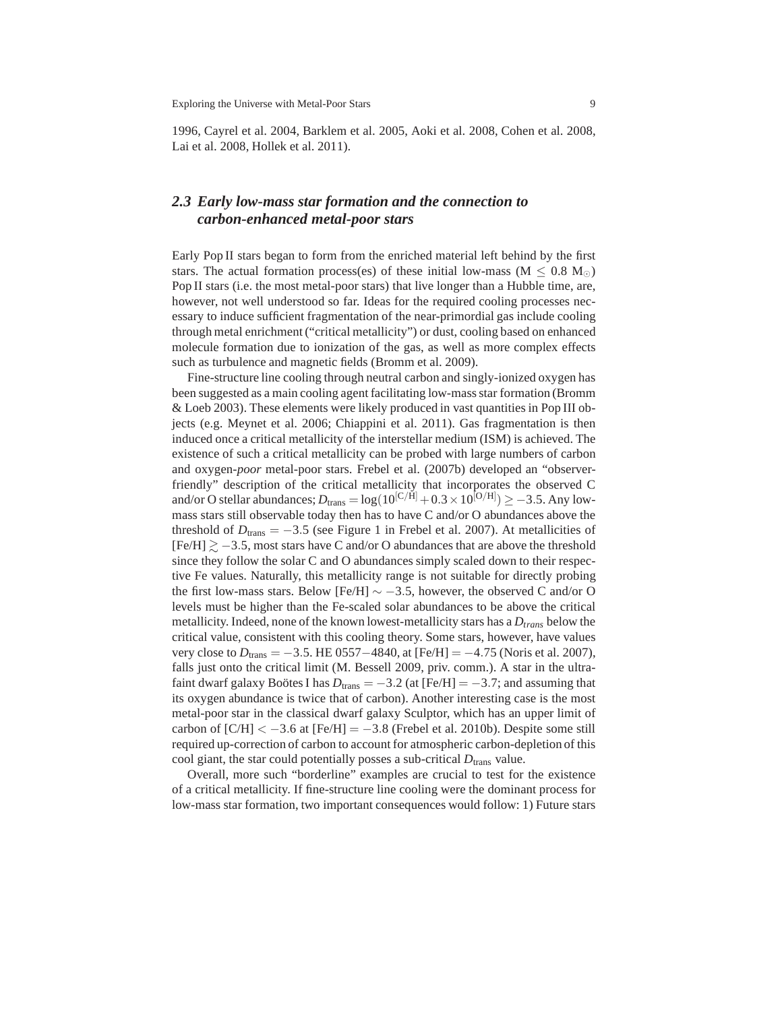1996, Cayrel et al. 2004, Barklem et al. 2005, Aoki et al. 2008, Cohen et al. 2008, Lai et al. 2008, Hollek et al. 2011).

# *2.3 Early low-mass star formation and the connection to carbon-enhanced metal-poor stars*

Early Pop II stars began to form from the enriched material left behind by the first stars. The actual formation process(es) of these initial low-mass ( $M \leq 0.8$  M<sub>☉</sub>) Pop II stars (i.e. the most metal-poor stars) that live longer than a Hubble time, are, however, not well understood so far. Ideas for the required cooling processes necessary to induce sufficient fragmentation of the near-primordial gas include cooling through metal enrichment ("critical metallicity") or dust, cooling based on enhanced molecule formation due to ionization of the gas, as well as more complex effects such as turbulence and magnetic fields (Bromm et al. 2009).

Fine-structure line cooling through neutral carbon and singly-ionized oxygen has been suggested as a main cooling agent facilitating low-mass star formation (Bromm & Loeb 2003). These elements were likely produced in vast quantities in Pop III objects (e.g. Meynet et al. 2006; Chiappini et al. 2011). Gas fragmentation is then induced once a critical metallicity of the interstellar medium (ISM) is achieved. The existence of such a critical metallicity can be probed with large numbers of carbon and oxygen-*poor* metal-poor stars. Frebel et al. (2007b) developed an "observerfriendly" description of the critical metallicity that incorporates the observed C and/or O stellar abundances;  $D_{\text{trans}} = \log(10^{[\text{C/H}]} + 0.3 \times 10^{[\text{O/H}]}) \ge -3.5$ . Any lowmass stars still observable today then has to have C and/or O abundances above the threshold of  $D<sub>trans</sub> = -3.5$  (see Figure 1 in Frebel et al. 2007). At metallicities of  $[Fe/H] \gtrsim -3.5$ , most stars have C and/or O abundances that are above the threshold since they follow the solar C and O abundances simply scaled down to their respective Fe values. Naturally, this metallicity range is not suitable for directly probing the first low-mass stars. Below [Fe/H]  $\sim$  −3.5, however, the observed C and/or O levels must be higher than the Fe-scaled solar abundances to be above the critical metallicity. Indeed, none of the known lowest-metallicity stars has a *Dtrans* below the critical value, consistent with this cooling theory. Some stars, however, have values very close to  $D_{trans} = -3.5$ . HE 0557–4840, at [Fe/H] =  $-4.75$  (Noris et al. 2007), falls just onto the critical limit (M. Bessell 2009, priv. comm.). A star in the ultrafaint dwarf galaxy Boötes I has  $D<sub>trans</sub> = -3.2$  (at [Fe/H] =  $-3.7$ ; and assuming that its oxygen abundance is twice that of carbon). Another interesting case is the most metal-poor star in the classical dwarf galaxy Sculptor, which has an upper limit of carbon of  $[CH] < -3.6$  at  $[Fe/H] = -3.8$  (Frebel et al. 2010b). Despite some still required up-correction of carbon to account for atmospheric carbon-depletion of this cool giant, the star could potentially posses a sub-critical  $D<sub>trans</sub>$  value.

Overall, more such "borderline" examples are crucial to test for the existence of a critical metallicity. If fine-structure line cooling were the dominant process for low-mass star formation, two important consequences would follow: 1) Future stars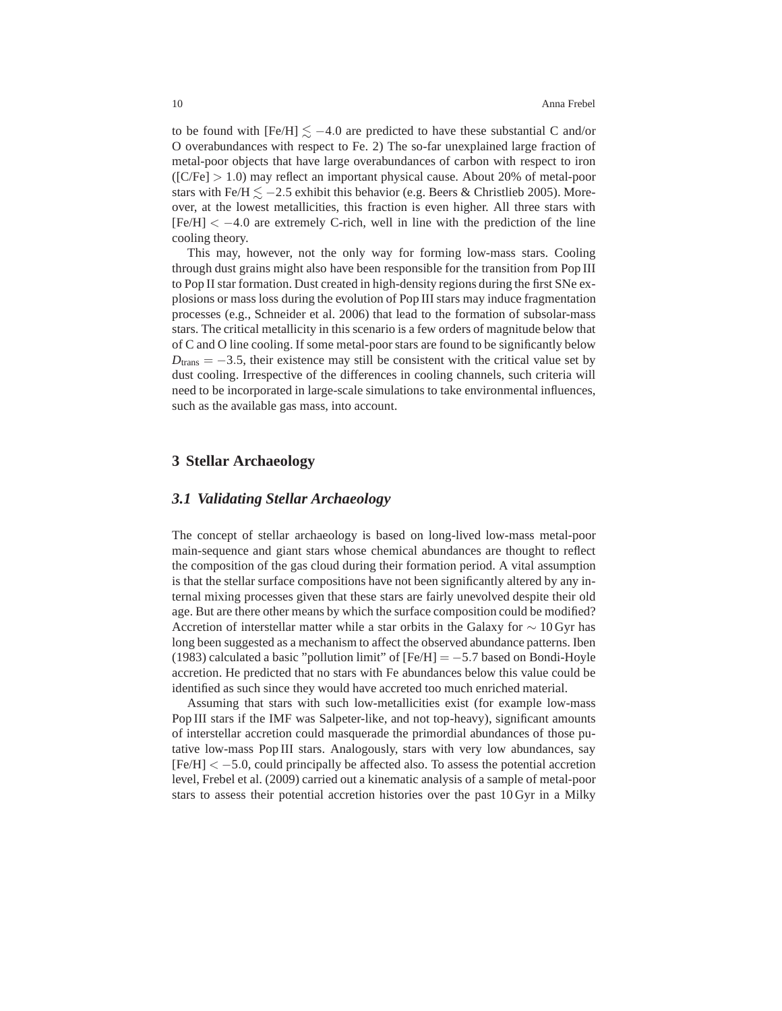to be found with  $[Fe/H] \le -4.0$  are predicted to have these substantial C and/or O overabundances with respect to Fe. 2) The so-far unexplained large fraction of metal-poor objects that have large overabundances of carbon with respect to iron ([C/Fe] > 1.0) may reflect an important physical cause. About 20% of metal-poor stars with Fe/H  $\leq -2.5$  exhibit this behavior (e.g. Beers & Christlieb 2005). Moreover, at the lowest metallicities, this fraction is even higher. All three stars with  $[Fe/H] < -4.0$  are extremely C-rich, well in line with the prediction of the line cooling theory.

This may, however, not the only way for forming low-mass stars. Cooling through dust grains might also have been responsible for the transition from Pop III to Pop II star formation. Dust created in high-density regions during the first SNe explosions or mass loss during the evolution of Pop III stars may induce fragmentation processes (e.g., Schneider et al. 2006) that lead to the formation of subsolar-mass stars. The critical metallicity in this scenario is a few orders of magnitude below that of C and O line cooling. If some metal-poor stars are found to be significantly below  $D_{trans} = -3.5$ , their existence may still be consistent with the critical value set by dust cooling. Irrespective of the differences in cooling channels, such criteria will need to be incorporated in large-scale simulations to take environmental influences, such as the available gas mass, into account.

# **3 Stellar Archaeology**

### *3.1 Validating Stellar Archaeology*

The concept of stellar archaeology is based on long-lived low-mass metal-poor main-sequence and giant stars whose chemical abundances are thought to reflect the composition of the gas cloud during their formation period. A vital assumption is that the stellar surface compositions have not been significantly altered by any internal mixing processes given that these stars are fairly unevolved despite their old age. But are there other means by which the surface composition could be modified? Accretion of interstellar matter while a star orbits in the Galaxy for  $\sim 10 \,\text{Gyr}$  has long been suggested as a mechanism to affect the observed abundance patterns. Iben (1983) calculated a basic "pollution limit" of  $[Fe/H] = -5.7$  based on Bondi-Hoyle accretion. He predicted that no stars with Fe abundances below this value could be identified as such since they would have accreted too much enriched material.

Assuming that stars with such low-metallicities exist (for example low-mass Pop III stars if the IMF was Salpeter-like, and not top-heavy), significant amounts of interstellar accretion could masquerade the primordial abundances of those putative low-mass Pop III stars. Analogously, stars with very low abundances, say  $[Fe/H] < -5.0$ , could principally be affected also. To assess the potential accretion level, Frebel et al. (2009) carried out a kinematic analysis of a sample of metal-poor stars to assess their potential accretion histories over the past 10 Gyr in a Milky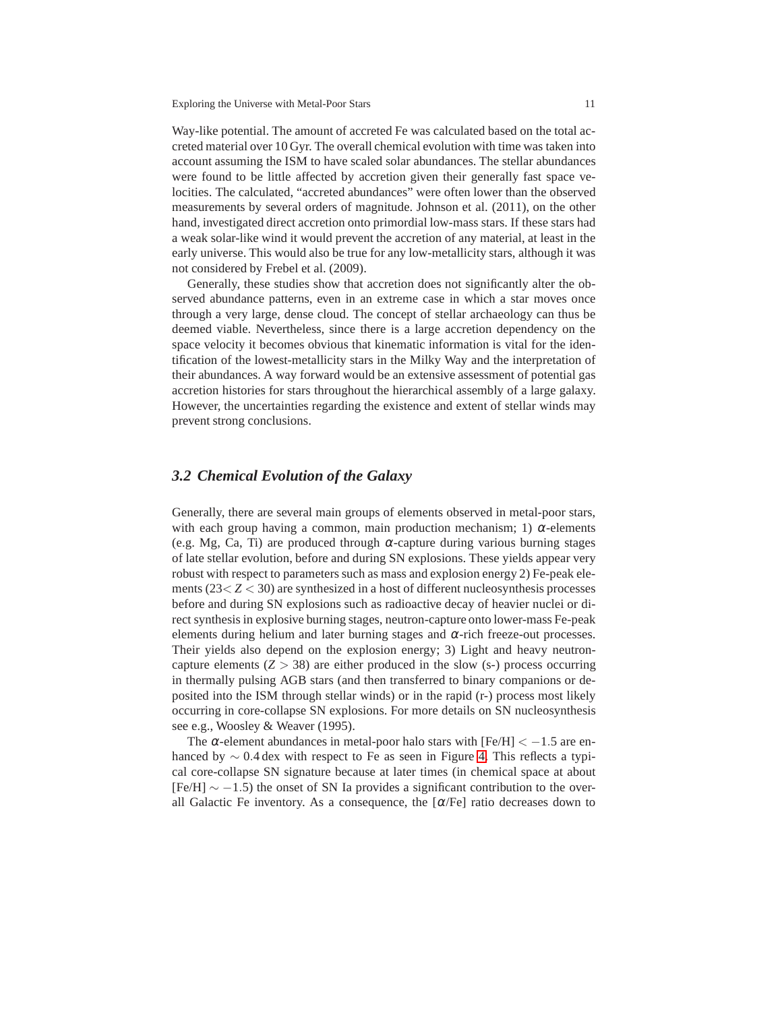Exploring the Universe with Metal-Poor Stars 11

Way-like potential. The amount of accreted Fe was calculated based on the total accreted material over 10 Gyr. The overall chemical evolution with time was taken into account assuming the ISM to have scaled solar abundances. The stellar abundances were found to be little affected by accretion given their generally fast space velocities. The calculated, "accreted abundances" were often lower than the observed measurements by several orders of magnitude. Johnson et al. (2011), on the other hand, investigated direct accretion onto primordial low-mass stars. If these stars had a weak solar-like wind it would prevent the accretion of any material, at least in the early universe. This would also be true for any low-metallicity stars, although it was not considered by Frebel et al. (2009).

Generally, these studies show that accretion does not significantly alter the observed abundance patterns, even in an extreme case in which a star moves once through a very large, dense cloud. The concept of stellar archaeology can thus be deemed viable. Nevertheless, since there is a large accretion dependency on the space velocity it becomes obvious that kinematic information is vital for the identification of the lowest-metallicity stars in the Milky Way and the interpretation of their abundances. A way forward would be an extensive assessment of potential gas accretion histories for stars throughout the hierarchical assembly of a large galaxy. However, the uncertainties regarding the existence and extent of stellar winds may prevent strong conclusions.

### *3.2 Chemical Evolution of the Galaxy*

Generally, there are several main groups of elements observed in metal-poor stars, with each group having a common, main production mechanism; 1)  $\alpha$ -elements (e.g. Mg, Ca, Ti) are produced through  $\alpha$ -capture during various burning stages of late stellar evolution, before and during SN explosions. These yields appear very robust with respect to parameters such as mass and explosion energy 2) Fe-peak elements (23< *Z* < 30) are synthesized in a host of different nucleosynthesis processes before and during SN explosions such as radioactive decay of heavier nuclei or direct synthesis in explosive burning stages, neutron-capture onto lower-mass Fe-peak elements during helium and later burning stages and  $\alpha$ -rich freeze-out processes. Their yields also depend on the explosion energy; 3) Light and heavy neutroncapture elements  $(Z > 38)$  are either produced in the slow (s-) process occurring in thermally pulsing AGB stars (and then transferred to binary companions or deposited into the ISM through stellar winds) or in the rapid (r-) process most likely occurring in core-collapse SN explosions. For more details on SN nucleosynthesis see e.g., Woosley & Weaver (1995).

The  $\alpha$ -element abundances in metal-poor halo stars with [Fe/H]  $< -1.5$  are enhanced by ∼ 0.4 dex with respect to Fe as seen in Figure [4.](#page-11-0) This reflects a typical core-collapse SN signature because at later times (in chemical space at about  $[Fe/H] \sim -1.5$ ) the onset of SN Ia provides a significant contribution to the overall Galactic Fe inventory. As a consequence, the  $\lceil \alpha/\sqrt{Fe} \rceil$  ratio decreases down to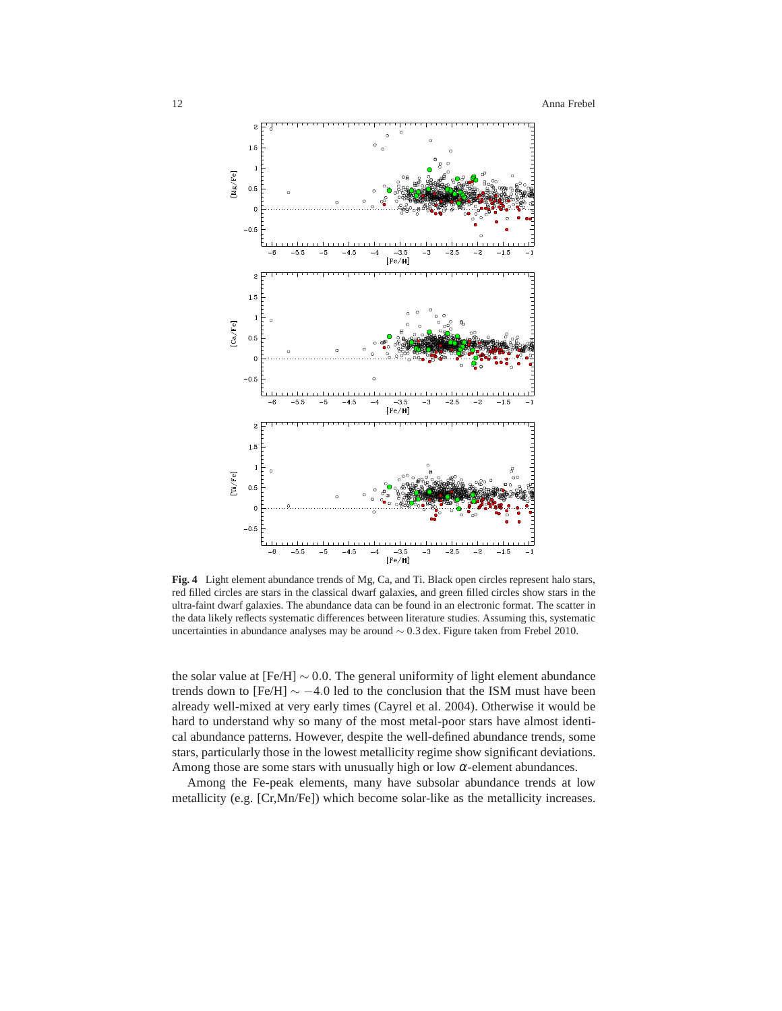

<span id="page-11-1"></span><span id="page-11-0"></span>**Fig. 4** Light element abundance trends of Mg, Ca, and Ti. Black open circles represent halo stars, red filled circles are stars in the classical dwarf galaxies, and green filled circles show stars in the ultra-faint dwarf galaxies. The abundance data can be found in an electronic format. The scatter in the data likely reflects systematic differences between literature studies. Assuming this, systematic uncertainties in abundance analyses may be around ∼ 0.3 dex. Figure taken from Frebel 2010.

the solar value at  $[Fe/H] \sim 0.0$ . The general uniformity of light element abundance trends down to [Fe/H]  $\sim -4.0$  led to the conclusion that the ISM must have been already well-mixed at very early times (Cayrel et al. 2004). Otherwise it would be hard to understand why so many of the most metal-poor stars have almost identical abundance patterns. However, despite the well-defined abundance trends, some stars, particularly those in the lowest metallicity regime show significant deviations. Among those are some stars with unusually high or low  $\alpha$ -element abundances.

Among the Fe-peak elements, many have subsolar abundance trends at low metallicity (e.g. [Cr,Mn/Fe]) which become solar-like as the metallicity increases.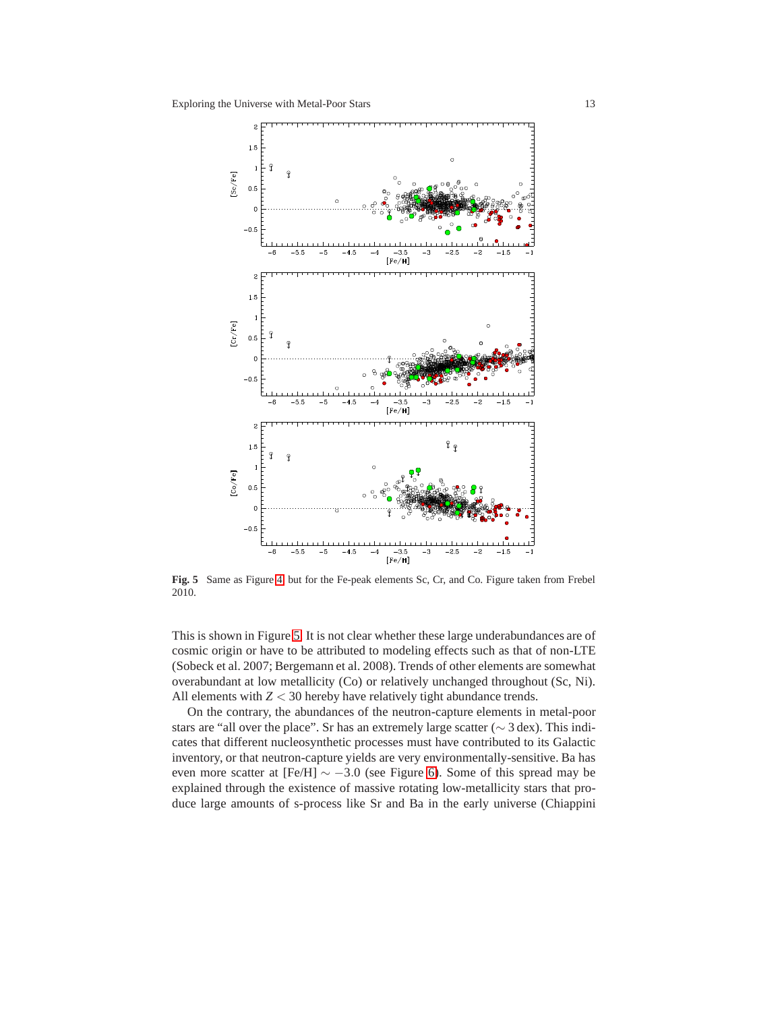

<span id="page-12-0"></span>**Fig. 5** Same as Figure [4,](#page-11-0) but for the Fe-peak elements Sc, Cr, and Co. Figure taken from Frebel 2010.

This is shown in Figure [5.](#page-12-0) It is not clear whether these large underabundances are of cosmic origin or have to be attributed to modeling effects such as that of non-LTE (Sobeck et al. 2007; Bergemann et al. 2008). Trends of other elements are somewhat overabundant at low metallicity (Co) or relatively unchanged throughout (Sc, Ni). All elements with  $Z < 30$  hereby have relatively tight abundance trends.

On the contrary, the abundances of the neutron-capture elements in metal-poor stars are "all over the place". Sr has an extremely large scatter ( $\sim$  3 dex). This indicates that different nucleosynthetic processes must have contributed to its Galactic inventory, or that neutron-capture yields are very environmentally-sensitive. Ba has even more scatter at [Fe/H]  $\sim -3.0$  (see Figure [6\)](#page-13-0). Some of this spread may be explained through the existence of massive rotating low-metallicity stars that produce large amounts of s-process like Sr and Ba in the early universe (Chiappini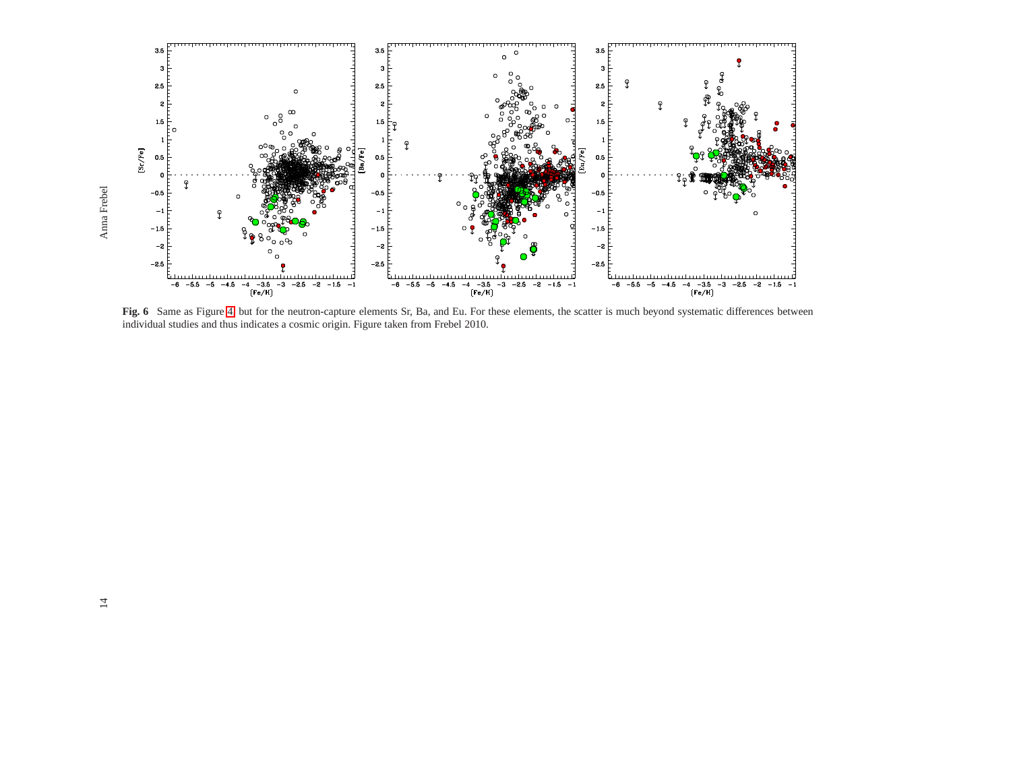

<span id="page-13-0"></span>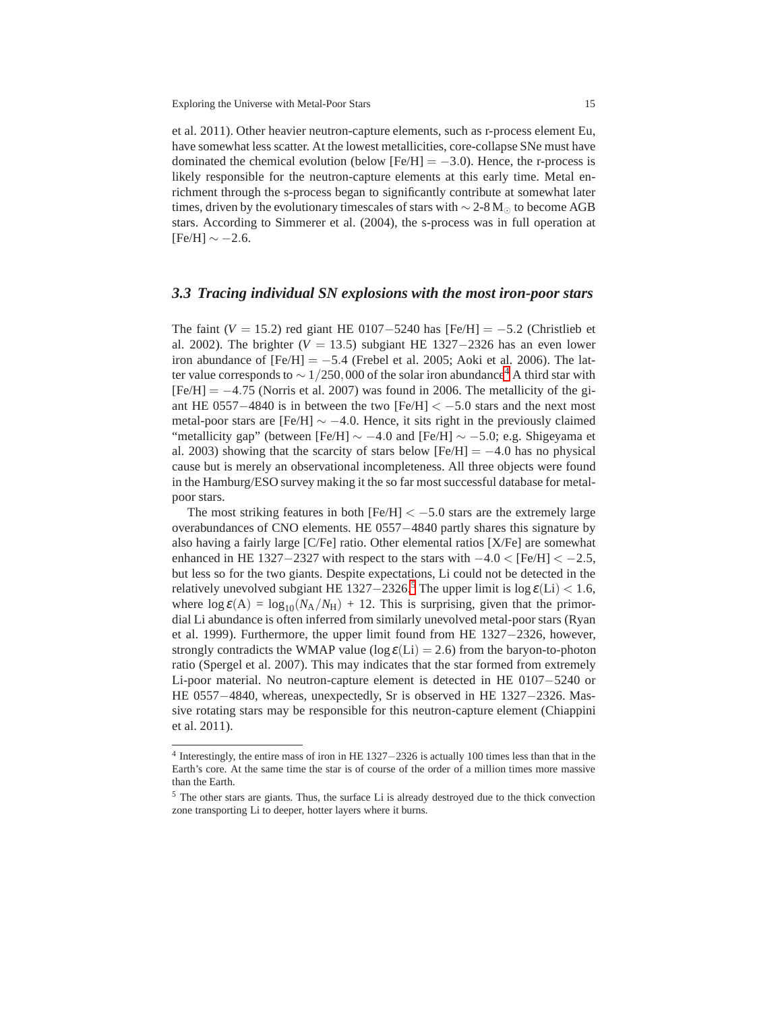et al. 2011). Other heavier neutron-capture elements, such as r-process element Eu, have somewhat less scatter. At the lowest metallicities, core-collapse SNe must have dominated the chemical evolution (below  $[Fe/H] = -3.0$ ). Hence, the r-process is likely responsible for the neutron-capture elements at this early time. Metal enrichment through the s-process began to significantly contribute at somewhat later times, driven by the evolutionary timescales of stars with  $\sim$  2-8 M<sub>☉</sub> to become AGB stars. According to Simmerer et al. (2004), the s-process was in full operation at  $[Fe/H] \sim -2.6$ .

#### <span id="page-14-0"></span>*3.3 Tracing individual SN explosions with the most iron-poor stars*

The faint ( $V = 15.2$ ) red giant HE 0107-5240 has [Fe/H] = -5.2 (Christlieb et al. 2002). The brighter ( $V = 13.5$ ) subgiant HE 1327–2326 has an even lower iron abundance of  $[Fe/H] = -5.4$  (Frebel et al. 2005; Aoki et al. 2006). The latter value corresponds to  $\sim 1/250,000$  of the solar iron abundance<sup>[4](#page-14-1)</sup> A third star with  $[Fe/H] = -4.75$  (Norris et al. 2007) was found in 2006. The metallicity of the giant HE 0557–4840 is in between the two  $[Fe/H] < -5.0$  stars and the next most metal-poor stars are [Fe/H]  $\sim -4.0$ . Hence, it sits right in the previously claimed "metallicity gap" (between [Fe/H]  $\sim -4.0$  and [Fe/H]  $\sim -5.0$ ; e.g. Shigeyama et al. 2003) showing that the scarcity of stars below  $[Fe/H] = -4.0$  has no physical cause but is merely an observational incompleteness. All three objects were found in the Hamburg/ESO survey making it the so far most successful database for metalpoor stars.

The most striking features in both  $[Fe/H] < -5.0$  stars are the extremely large overabundances of CNO elements. HE 0557−4840 partly shares this signature by also having a fairly large [C/Fe] ratio. Other elemental ratios [X/Fe] are somewhat enhanced in HE 1327−2327 with respect to the stars with  $-4.0 <$  [Fe/H]  $< -2.5$ , but less so for the two giants. Despite expectations, Li could not be detected in the relatively unevolved subgiant HE 1327–2326.<sup>[5](#page-14-2)</sup> The upper limit is  $\log \varepsilon$ (Li) < 1.6, where  $\log \varepsilon(A) = \log_{10}(N_A/N_H) + 12$ . This is surprising, given that the primordial Li abundance is often inferred from similarly unevolved metal-poor stars (Ryan et al. 1999). Furthermore, the upper limit found from HE 1327−2326, however, strongly contradicts the WMAP value ( $log \epsilon(Li) = 2.6$ ) from the baryon-to-photon ratio (Spergel et al. 2007). This may indicates that the star formed from extremely Li-poor material. No neutron-capture element is detected in HE 0107−5240 or HE 0557-4840, whereas, unexpectedly, Sr is observed in HE 1327-2326. Massive rotating stars may be responsible for this neutron-capture element (Chiappini et al. 2011).

<span id="page-14-1"></span><sup>4</sup> Interestingly, the entire mass of iron in HE 1327−2326 is actually 100 times less than that in the Earth's core. At the same time the star is of course of the order of a million times more massive than the Earth.

<span id="page-14-2"></span><sup>&</sup>lt;sup>5</sup> The other stars are giants. Thus, the surface Li is already destroyed due to the thick convection zone transporting Li to deeper, hotter layers where it burns.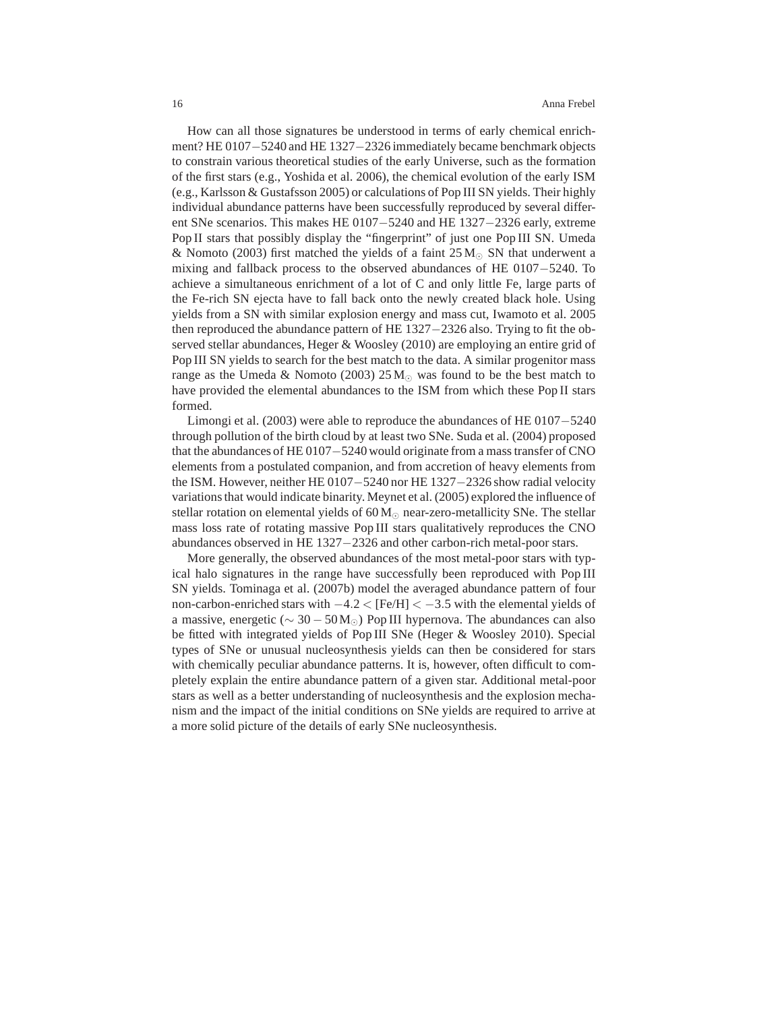How can all those signatures be understood in terms of early chemical enrichment? HE 0107−5240 and HE 1327−2326 immediately became benchmark objects to constrain various theoretical studies of the early Universe, such as the formation of the first stars (e.g., Yoshida et al. 2006), the chemical evolution of the early ISM (e.g., Karlsson & Gustafsson 2005) or calculations of Pop III SN yields. Their highly individual abundance patterns have been successfully reproduced by several different SNe scenarios. This makes HE 0107−5240 and HE 1327−2326 early, extreme Pop II stars that possibly display the "fingerprint" of just one Pop III SN. Umeda & Nomoto (2003) first matched the yields of a faint  $25 M_{\odot}$  SN that underwent a mixing and fallback process to the observed abundances of HE 0107−5240. To achieve a simultaneous enrichment of a lot of C and only little Fe, large parts of the Fe-rich SN ejecta have to fall back onto the newly created black hole. Using yields from a SN with similar explosion energy and mass cut, Iwamoto et al. 2005 then reproduced the abundance pattern of HE 1327−2326 also. Trying to fit the observed stellar abundances, Heger & Woosley (2010) are employing an entire grid of Pop III SN yields to search for the best match to the data. A similar progenitor mass range as the Umeda & Nomoto (2003) 25 M<sub>☉</sub> was found to be the best match to have provided the elemental abundances to the ISM from which these Pop II stars formed.

Limongi et al. (2003) were able to reproduce the abundances of HE 0107−5240 through pollution of the birth cloud by at least two SNe. Suda et al. (2004) proposed that the abundances of HE 0107−5240 would originate from a mass transfer of CNO elements from a postulated companion, and from accretion of heavy elements from the ISM. However, neither HE 0107−5240 nor HE 1327−2326 show radial velocity variations that would indicate binarity. Meynet et al. (2005) explored the influence of stellar rotation on elemental yields of  $60 M_{\odot}$  near-zero-metallicity SNe. The stellar mass loss rate of rotating massive Pop III stars qualitatively reproduces the CNO abundances observed in HE 1327−2326 and other carbon-rich metal-poor stars.

More generally, the observed abundances of the most metal-poor stars with typical halo signatures in the range have successfully been reproduced with Pop III SN yields. Tominaga et al. (2007b) model the averaged abundance pattern of four non-carbon-enriched stars with −4.2 < [Fe/H] < −3.5 with the elemental yields of a massive, energetic ( $\sim 30 - 50$  M<sub>☉</sub>) Pop III hypernova. The abundances can also be fitted with integrated yields of Pop III SNe (Heger & Woosley 2010). Special types of SNe or unusual nucleosynthesis yields can then be considered for stars with chemically peculiar abundance patterns. It is, however, often difficult to completely explain the entire abundance pattern of a given star. Additional metal-poor stars as well as a better understanding of nucleosynthesis and the explosion mechanism and the impact of the initial conditions on SNe yields are required to arrive at a more solid picture of the details of early SNe nucleosynthesis.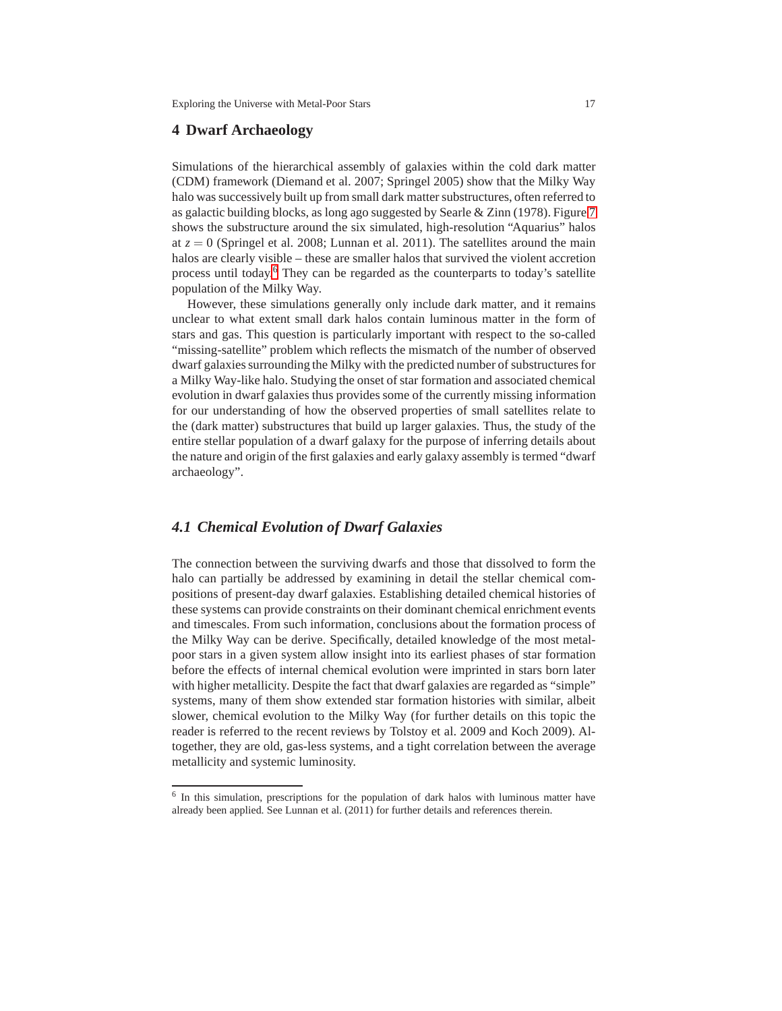#### **4 Dwarf Archaeology**

Simulations of the hierarchical assembly of galaxies within the cold dark matter (CDM) framework (Diemand et al. 2007; Springel 2005) show that the Milky Way halo was successively built up from small dark matter substructures, often referred to as galactic building blocks, as long ago suggested by Searle & Zinn (1978). Figure [7](#page-17-0) shows the substructure around the six simulated, high-resolution "Aquarius" halos at  $z = 0$  (Springel et al. 2008; Lunnan et al. 2011). The satellites around the main halos are clearly visible – these are smaller halos that survived the violent accretion process until today.<sup>[6](#page-16-0)</sup> They can be regarded as the counterparts to today's satellite population of the Milky Way.

However, these simulations generally only include dark matter, and it remains unclear to what extent small dark halos contain luminous matter in the form of stars and gas. This question is particularly important with respect to the so-called "missing-satellite" problem which reflects the mismatch of the number of observed dwarf galaxies surrounding the Milky with the predicted number of substructures for a Milky Way-like halo. Studying the onset of star formation and associated chemical evolution in dwarf galaxies thus provides some of the currently missing information for our understanding of how the observed properties of small satellites relate to the (dark matter) substructures that build up larger galaxies. Thus, the study of the entire stellar population of a dwarf galaxy for the purpose of inferring details about the nature and origin of the first galaxies and early galaxy assembly is termed "dwarf archaeology".

# *4.1 Chemical Evolution of Dwarf Galaxies*

The connection between the surviving dwarfs and those that dissolved to form the halo can partially be addressed by examining in detail the stellar chemical compositions of present-day dwarf galaxies. Establishing detailed chemical histories of these systems can provide constraints on their dominant chemical enrichment events and timescales. From such information, conclusions about the formation process of the Milky Way can be derive. Specifically, detailed knowledge of the most metalpoor stars in a given system allow insight into its earliest phases of star formation before the effects of internal chemical evolution were imprinted in stars born later with higher metallicity. Despite the fact that dwarf galaxies are regarded as "simple" systems, many of them show extended star formation histories with similar, albeit slower, chemical evolution to the Milky Way (for further details on this topic the reader is referred to the recent reviews by Tolstoy et al. 2009 and Koch 2009). Altogether, they are old, gas-less systems, and a tight correlation between the average metallicity and systemic luminosity.

<span id="page-16-0"></span><sup>&</sup>lt;sup>6</sup> In this simulation, prescriptions for the population of dark halos with luminous matter have already been applied. See Lunnan et al. (2011) for further details and references therein.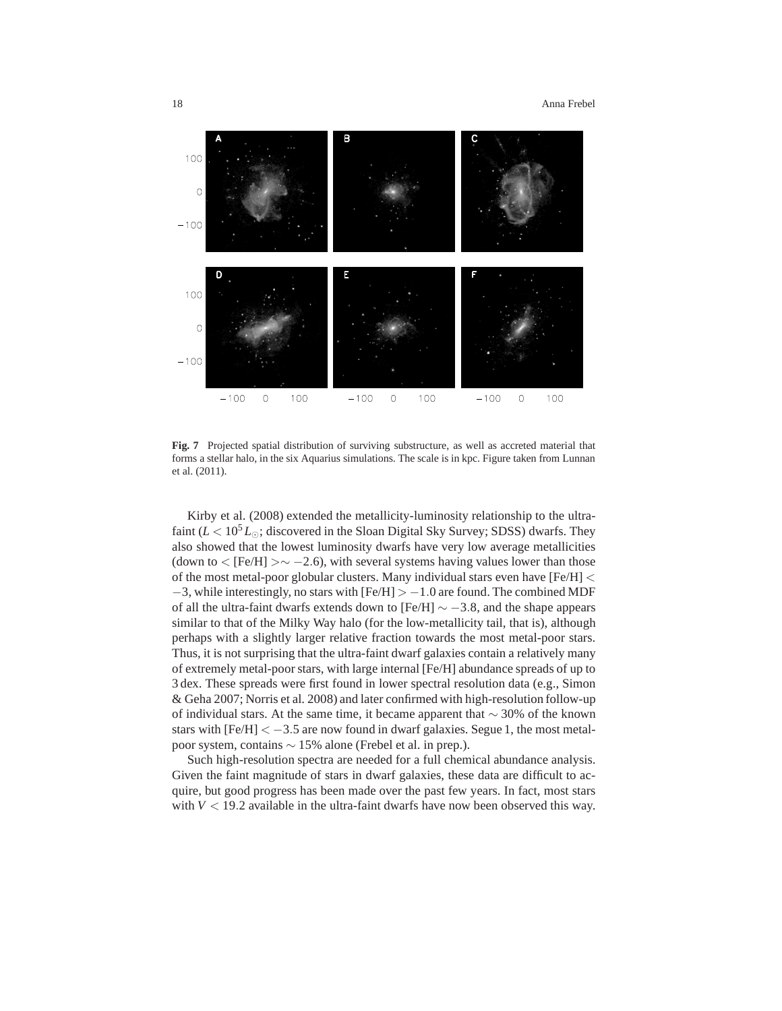

<span id="page-17-0"></span>**Fig. 7** Projected spatial distribution of surviving substructure, as well as accreted material that forms a stellar halo, in the six Aquarius simulations. The scale is in kpc. Figure taken from Lunnan et al. (2011).

Kirby et al. (2008) extended the metallicity-luminosity relationship to the ultrafaint ( $L < 10^5 L_{\odot}$ ; discovered in the Sloan Digital Sky Survey; SDSS) dwarfs. They also showed that the lowest luminosity dwarfs have very low average metallicities (down to  $\langle$  [Fe/H] > $\sim$  -2.6), with several systems having values lower than those of the most metal-poor globular clusters. Many individual stars even have [Fe/H] <  $-3$ , while interestingly, no stars with  $[Fe/H] > -1.0$  are found. The combined MDF of all the ultra-faint dwarfs extends down to [Fe/H]  $\sim$  -3.8, and the shape appears similar to that of the Milky Way halo (for the low-metallicity tail, that is), although perhaps with a slightly larger relative fraction towards the most metal-poor stars. Thus, it is not surprising that the ultra-faint dwarf galaxies contain a relatively many of extremely metal-poor stars, with large internal [Fe/H] abundance spreads of up to 3 dex. These spreads were first found in lower spectral resolution data (e.g., Simon & Geha 2007; Norris et al. 2008) and later confirmed with high-resolution follow-up of individual stars. At the same time, it became apparent that ∼ 30% of the known stars with  $[Fe/H] < -3.5$  are now found in dwarf galaxies. Segue 1, the most metalpoor system, contains ∼ 15% alone (Frebel et al. in prep.).

Such high-resolution spectra are needed for a full chemical abundance analysis. Given the faint magnitude of stars in dwarf galaxies, these data are difficult to acquire, but good progress has been made over the past few years. In fact, most stars with  $V < 19.2$  available in the ultra-faint dwarfs have now been observed this way.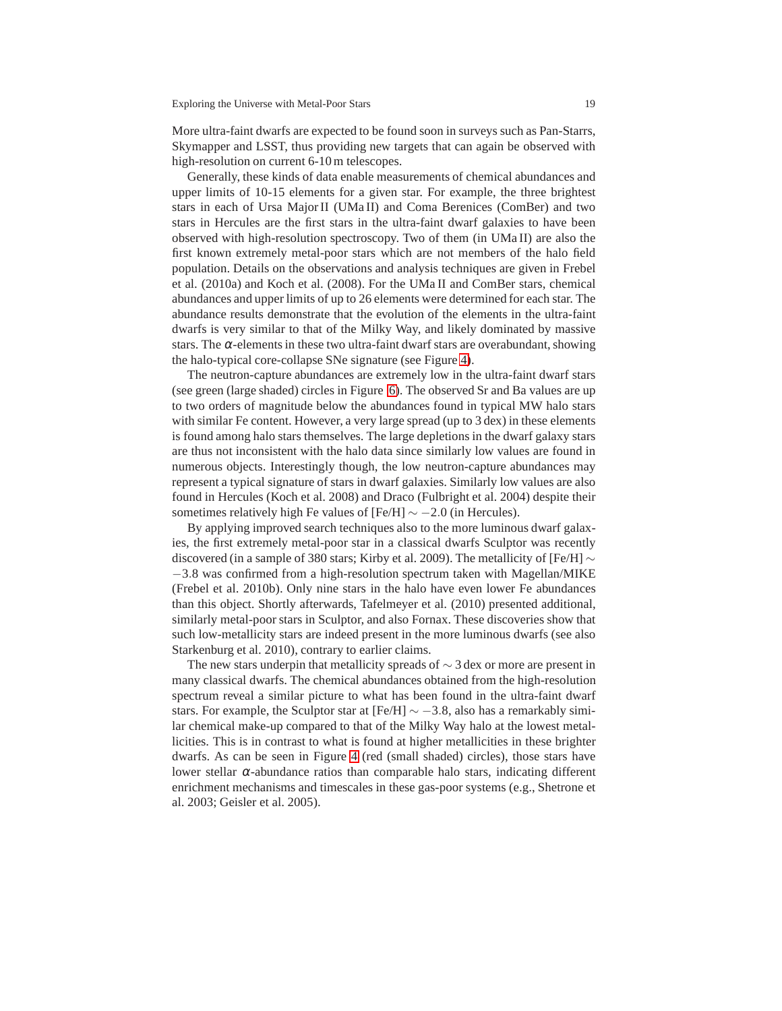More ultra-faint dwarfs are expected to be found soon in surveys such as Pan-Starrs, Skymapper and LSST, thus providing new targets that can again be observed with high-resolution on current 6-10 m telescopes.

Generally, these kinds of data enable measurements of chemical abundances and upper limits of 10-15 elements for a given star. For example, the three brightest stars in each of Ursa Major II (UMa II) and Coma Berenices (ComBer) and two stars in Hercules are the first stars in the ultra-faint dwarf galaxies to have been observed with high-resolution spectroscopy. Two of them (in UMa II) are also the first known extremely metal-poor stars which are not members of the halo field population. Details on the observations and analysis techniques are given in Frebel et al. (2010a) and Koch et al. (2008). For the UMa II and ComBer stars, chemical abundances and upper limits of up to 26 elements were determined for each star. The abundance results demonstrate that the evolution of the elements in the ultra-faint dwarfs is very similar to that of the Milky Way, and likely dominated by massive stars. The  $\alpha$ -elements in these two ultra-faint dwarf stars are overabundant, showing the halo-typical core-collapse SNe signature (see Figure [4\)](#page-11-0).

The neutron-capture abundances are extremely low in the ultra-faint dwarf stars (see green (large shaded) circles in Figure [6\)](#page-13-0). The observed Sr and Ba values are up to two orders of magnitude below the abundances found in typical MW halo stars with similar Fe content. However, a very large spread (up to 3 dex) in these elements is found among halo stars themselves. The large depletions in the dwarf galaxy stars are thus not inconsistent with the halo data since similarly low values are found in numerous objects. Interestingly though, the low neutron-capture abundances may represent a typical signature of stars in dwarf galaxies. Similarly low values are also found in Hercules (Koch et al. 2008) and Draco (Fulbright et al. 2004) despite their sometimes relatively high Fe values of  $[Fe/H] \sim -2.0$  (in Hercules).

By applying improved search techniques also to the more luminous dwarf galaxies, the first extremely metal-poor star in a classical dwarfs Sculptor was recently discovered (in a sample of 380 stars; Kirby et al. 2009). The metallicity of [Fe/H]  $\sim$ −3.8 was confirmed from a high-resolution spectrum taken with Magellan/MIKE (Frebel et al. 2010b). Only nine stars in the halo have even lower Fe abundances than this object. Shortly afterwards, Tafelmeyer et al. (2010) presented additional, similarly metal-poor stars in Sculptor, and also Fornax. These discoveries show that such low-metallicity stars are indeed present in the more luminous dwarfs (see also Starkenburg et al. 2010), contrary to earlier claims.

The new stars underpin that metallicity spreads of  $\sim$  3 dex or more are present in many classical dwarfs. The chemical abundances obtained from the high-resolution spectrum reveal a similar picture to what has been found in the ultra-faint dwarf stars. For example, the Sculptor star at  $[Fe/H] \sim -3.8$ , also has a remarkably similar chemical make-up compared to that of the Milky Way halo at the lowest metallicities. This is in contrast to what is found at higher metallicities in these brighter dwarfs. As can be seen in Figure [4](#page-11-0) (red (small shaded) circles), those stars have lower stellar  $\alpha$ -abundance ratios than comparable halo stars, indicating different enrichment mechanisms and timescales in these gas-poor systems (e.g., Shetrone et al. 2003; Geisler et al. 2005).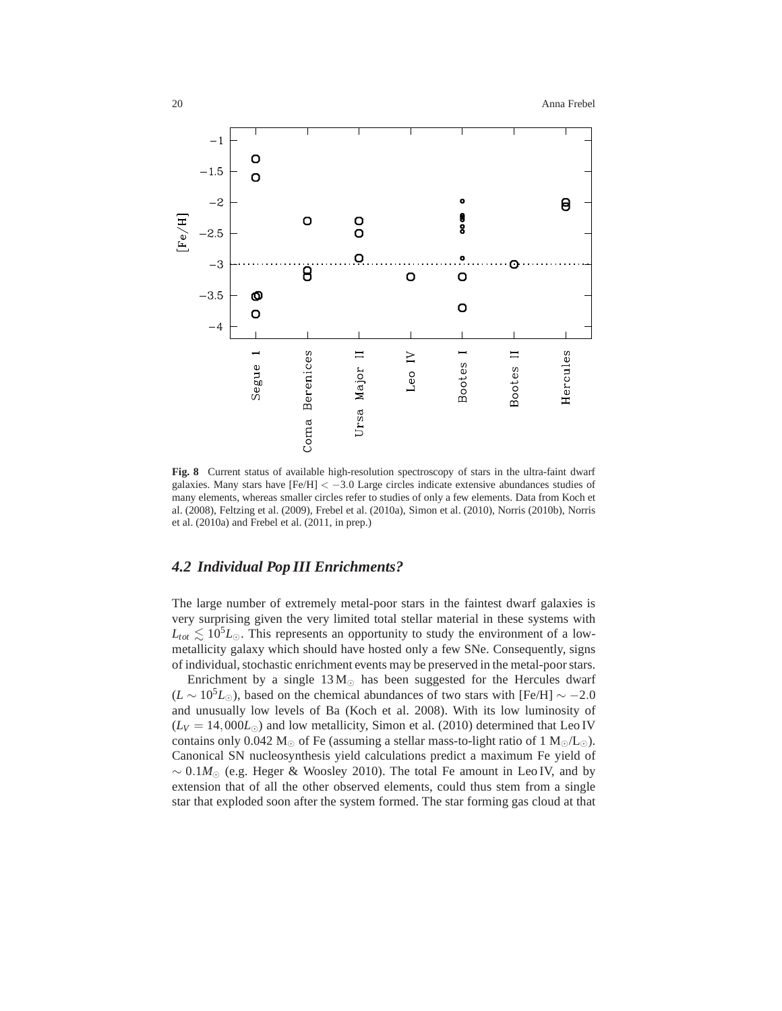

**Fig. 8** Current status of available high-resolution spectroscopy of stars in the ultra-faint dwarf galaxies. Many stars have  $[Fe/H] < -3.0$  Large circles indicate extensive abundances studies of many elements, whereas smaller circles refer to studies of only a few elements. Data from Koch et al. (2008), Feltzing et al. (2009), Frebel et al. (2010a), Simon et al. (2010), Norris (2010b), Norris et al. (2010a) and Frebel et al. (2011, in prep.)

# <span id="page-19-0"></span>*4.2 Individual Pop III Enrichments?*

The large number of extremely metal-poor stars in the faintest dwarf galaxies is very surprising given the very limited total stellar material in these systems with  $L_{tot} \lesssim 10^5 L_{\odot}$ . This represents an opportunity to study the environment of a lowmetallicity galaxy which should have hosted only a few SNe. Consequently, signs of individual, stochastic enrichment events may be preserved in the metal-poor stars.

Enrichment by a single  $13 M_{\odot}$  has been suggested for the Hercules dwarf  $(L \sim 10^5 L_{\odot})$ , based on the chemical abundances of two stars with [Fe/H]  $\sim -2.0$ and unusually low levels of Ba (Koch et al. 2008). With its low luminosity of  $(L_V = 14,000L_0)$  and low metallicity, Simon et al. (2010) determined that Leo IV contains only 0.042 M<sub>☉</sub> of Fe (assuming a stellar mass-to-light ratio of 1 M<sub>☉</sub>/L<sub>☉</sub>). Canonical SN nucleosynthesis yield calculations predict a maximum Fe yield of ∼ 0.1*M*<sup>⊙</sup> (e.g. Heger & Woosley 2010). The total Fe amount in Leo IV, and by extension that of all the other observed elements, could thus stem from a single star that exploded soon after the system formed. The star forming gas cloud at that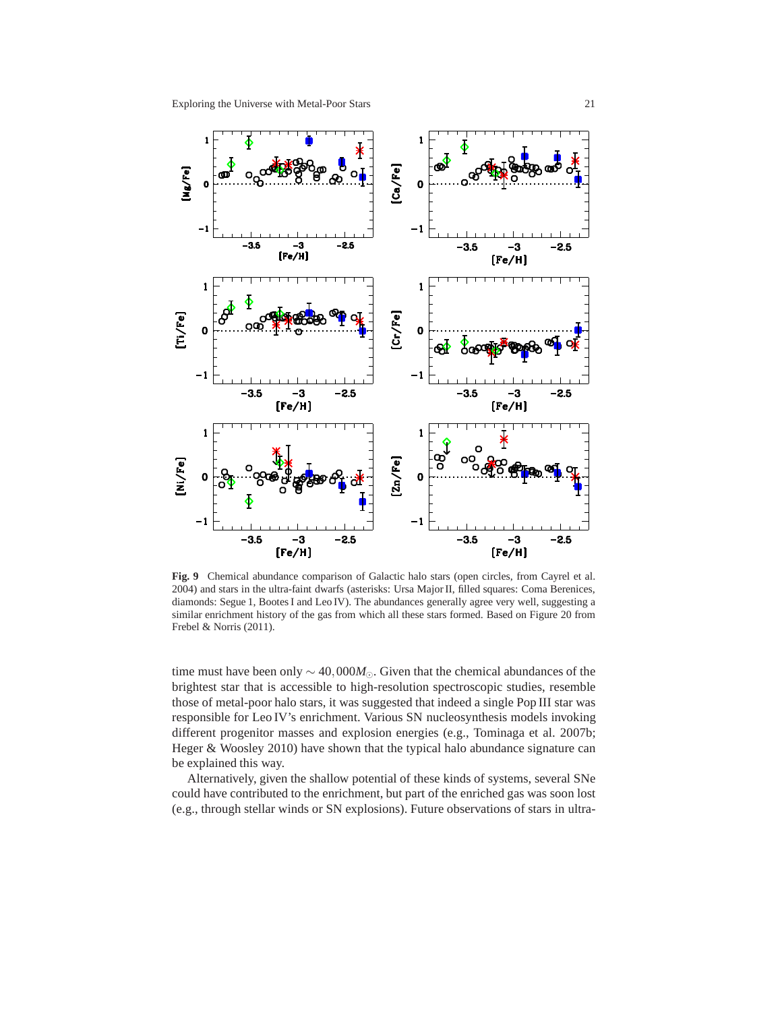

<span id="page-20-0"></span>**Fig. 9** Chemical abundance comparison of Galactic halo stars (open circles, from Cayrel et al. 2004) and stars in the ultra-faint dwarfs (asterisks: Ursa Major II, filled squares: Coma Berenices, diamonds: Segue 1, Bootes I and Leo IV). The abundances generally agree very well, suggesting a similar enrichment history of the gas from which all these stars formed. Based on Figure 20 from Frebel & Norris (2011).

time must have been only ∼ 40,000*M*⊙. Given that the chemical abundances of the brightest star that is accessible to high-resolution spectroscopic studies, resemble those of metal-poor halo stars, it was suggested that indeed a single Pop III star was responsible for Leo IV's enrichment. Various SN nucleosynthesis models invoking different progenitor masses and explosion energies (e.g., Tominaga et al. 2007b; Heger & Woosley 2010) have shown that the typical halo abundance signature can be explained this way.

Alternatively, given the shallow potential of these kinds of systems, several SNe could have contributed to the enrichment, but part of the enriched gas was soon lost (e.g., through stellar winds or SN explosions). Future observations of stars in ultra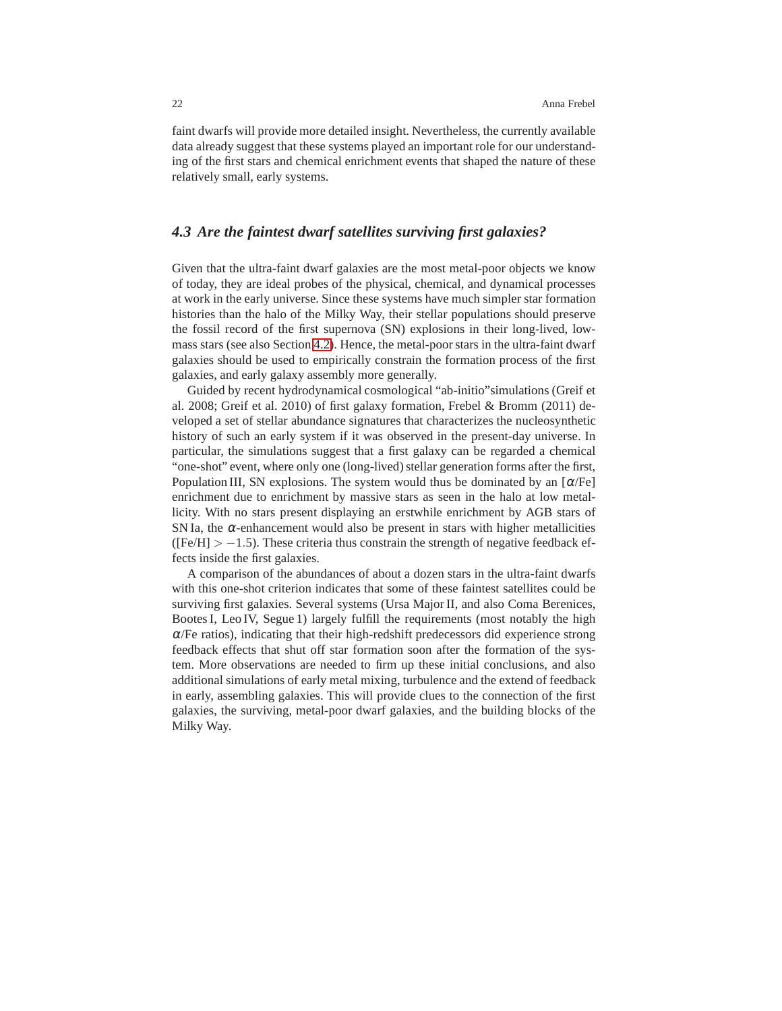faint dwarfs will provide more detailed insight. Nevertheless, the currently available data already suggest that these systems played an important role for our understanding of the first stars and chemical enrichment events that shaped the nature of these relatively small, early systems.

### *4.3 Are the faintest dwarf satellites surviving first galaxies?*

Given that the ultra-faint dwarf galaxies are the most metal-poor objects we know of today, they are ideal probes of the physical, chemical, and dynamical processes at work in the early universe. Since these systems have much simpler star formation histories than the halo of the Milky Way, their stellar populations should preserve the fossil record of the first supernova (SN) explosions in their long-lived, lowmass stars (see also Section [4.2\)](#page-19-0). Hence, the metal-poor stars in the ultra-faint dwarf galaxies should be used to empirically constrain the formation process of the first galaxies, and early galaxy assembly more generally.

Guided by recent hydrodynamical cosmological "ab-initio"simulations (Greif et al. 2008; Greif et al. 2010) of first galaxy formation, Frebel & Bromm (2011) developed a set of stellar abundance signatures that characterizes the nucleosynthetic history of such an early system if it was observed in the present-day universe. In particular, the simulations suggest that a first galaxy can be regarded a chemical "one-shot" event, where only one (long-lived) stellar generation forms after the first, Population III, SN explosions. The system would thus be dominated by an  $\alpha$  Fe] enrichment due to enrichment by massive stars as seen in the halo at low metallicity. With no stars present displaying an erstwhile enrichment by AGB stars of SN Ia, the  $\alpha$ -enhancement would also be present in stars with higher metallicities ( $[Fe/H] > -1.5$ ). These criteria thus constrain the strength of negative feedback effects inside the first galaxies.

A comparison of the abundances of about a dozen stars in the ultra-faint dwarfs with this one-shot criterion indicates that some of these faintest satellites could be surviving first galaxies. Several systems (Ursa Major II, and also Coma Berenices, Bootes I, Leo IV, Segue 1) largely fulfill the requirements (most notably the high  $\alpha$ /Fe ratios), indicating that their high-redshift predecessors did experience strong feedback effects that shut off star formation soon after the formation of the system. More observations are needed to firm up these initial conclusions, and also additional simulations of early metal mixing, turbulence and the extend of feedback in early, assembling galaxies. This will provide clues to the connection of the first galaxies, the surviving, metal-poor dwarf galaxies, and the building blocks of the Milky Way.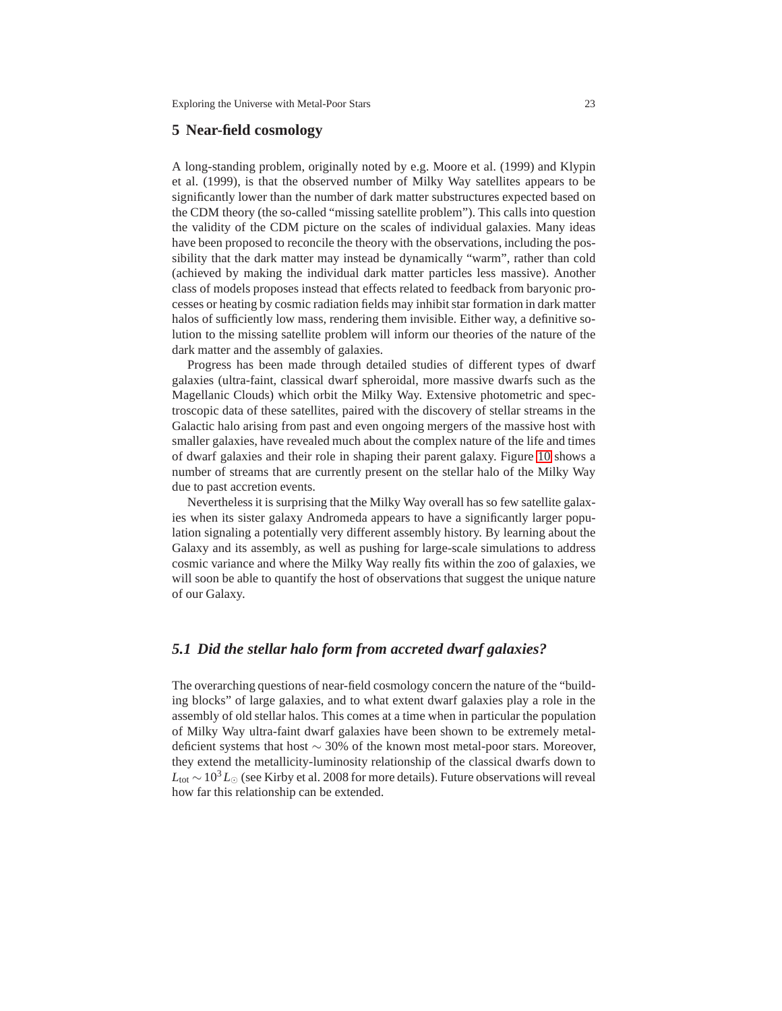#### **5 Near-field cosmology**

A long-standing problem, originally noted by e.g. Moore et al. (1999) and Klypin et al. (1999), is that the observed number of Milky Way satellites appears to be significantly lower than the number of dark matter substructures expected based on the CDM theory (the so-called "missing satellite problem"). This calls into question the validity of the CDM picture on the scales of individual galaxies. Many ideas have been proposed to reconcile the theory with the observations, including the possibility that the dark matter may instead be dynamically "warm", rather than cold (achieved by making the individual dark matter particles less massive). Another class of models proposes instead that effects related to feedback from baryonic processes or heating by cosmic radiation fields may inhibit star formation in dark matter halos of sufficiently low mass, rendering them invisible. Either way, a definitive solution to the missing satellite problem will inform our theories of the nature of the dark matter and the assembly of galaxies.

Progress has been made through detailed studies of different types of dwarf galaxies (ultra-faint, classical dwarf spheroidal, more massive dwarfs such as the Magellanic Clouds) which orbit the Milky Way. Extensive photometric and spectroscopic data of these satellites, paired with the discovery of stellar streams in the Galactic halo arising from past and even ongoing mergers of the massive host with smaller galaxies, have revealed much about the complex nature of the life and times of dwarf galaxies and their role in shaping their parent galaxy. Figure [10](#page-23-0) shows a number of streams that are currently present on the stellar halo of the Milky Way due to past accretion events.

Nevertheless it is surprising that the Milky Way overall has so few satellite galaxies when its sister galaxy Andromeda appears to have a significantly larger population signaling a potentially very different assembly history. By learning about the Galaxy and its assembly, as well as pushing for large-scale simulations to address cosmic variance and where the Milky Way really fits within the zoo of galaxies, we will soon be able to quantify the host of observations that suggest the unique nature of our Galaxy.

# *5.1 Did the stellar halo form from accreted dwarf galaxies?*

The overarching questions of near-field cosmology concern the nature of the "building blocks" of large galaxies, and to what extent dwarf galaxies play a role in the assembly of old stellar halos. This comes at a time when in particular the population of Milky Way ultra-faint dwarf galaxies have been shown to be extremely metaldeficient systems that host ∼ 30% of the known most metal-poor stars. Moreover, they extend the metallicity-luminosity relationship of the classical dwarfs down to *L*<sub>tot</sub> ∼ 10<sup>3</sup> *L*<sub>⊙</sub> (see Kirby et al. 2008 for more details). Future observations will reveal how far this relationship can be extended.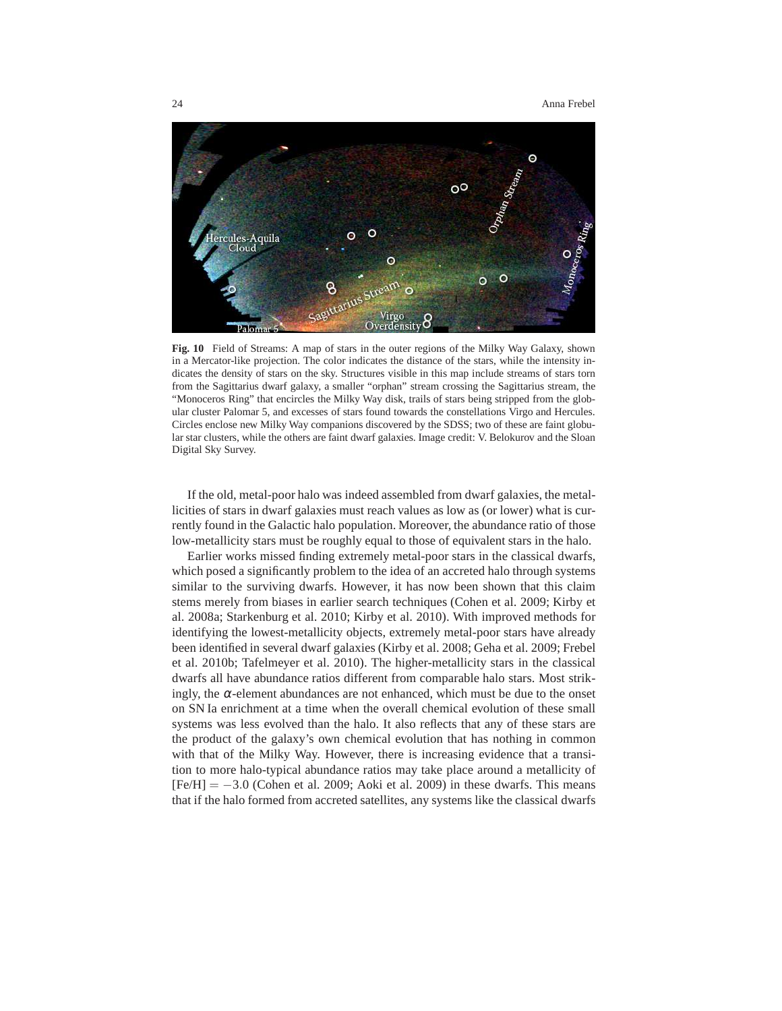

<span id="page-23-0"></span>**Fig. 10** Field of Streams: A map of stars in the outer regions of the Milky Way Galaxy, shown in a Mercator-like projection. The color indicates the distance of the stars, while the intensity indicates the density of stars on the sky. Structures visible in this map include streams of stars torn from the Sagittarius dwarf galaxy, a smaller "orphan" stream crossing the Sagittarius stream, the "Monoceros Ring" that encircles the Milky Way disk, trails of stars being stripped from the globular cluster Palomar 5, and excesses of stars found towards the constellations Virgo and Hercules. Circles enclose new Milky Way companions discovered by the SDSS; two of these are faint globular star clusters, while the others are faint dwarf galaxies. Image credit: V. Belokurov and the Sloan Digital Sky Survey.

If the old, metal-poor halo was indeed assembled from dwarf galaxies, the metallicities of stars in dwarf galaxies must reach values as low as (or lower) what is currently found in the Galactic halo population. Moreover, the abundance ratio of those low-metallicity stars must be roughly equal to those of equivalent stars in the halo.

Earlier works missed finding extremely metal-poor stars in the classical dwarfs, which posed a significantly problem to the idea of an accreted halo through systems similar to the surviving dwarfs. However, it has now been shown that this claim stems merely from biases in earlier search techniques (Cohen et al. 2009; Kirby et al. 2008a; Starkenburg et al. 2010; Kirby et al. 2010). With improved methods for identifying the lowest-metallicity objects, extremely metal-poor stars have already been identified in several dwarf galaxies (Kirby et al. 2008; Geha et al. 2009; Frebel et al. 2010b; Tafelmeyer et al. 2010). The higher-metallicity stars in the classical dwarfs all have abundance ratios different from comparable halo stars. Most strikingly, the  $\alpha$ -element abundances are not enhanced, which must be due to the onset on SN Ia enrichment at a time when the overall chemical evolution of these small systems was less evolved than the halo. It also reflects that any of these stars are the product of the galaxy's own chemical evolution that has nothing in common with that of the Milky Way. However, there is increasing evidence that a transition to more halo-typical abundance ratios may take place around a metallicity of  $[Fe/H] = -3.0$  (Cohen et al. 2009; Aoki et al. 2009) in these dwarfs. This means that if the halo formed from accreted satellites, any systems like the classical dwarfs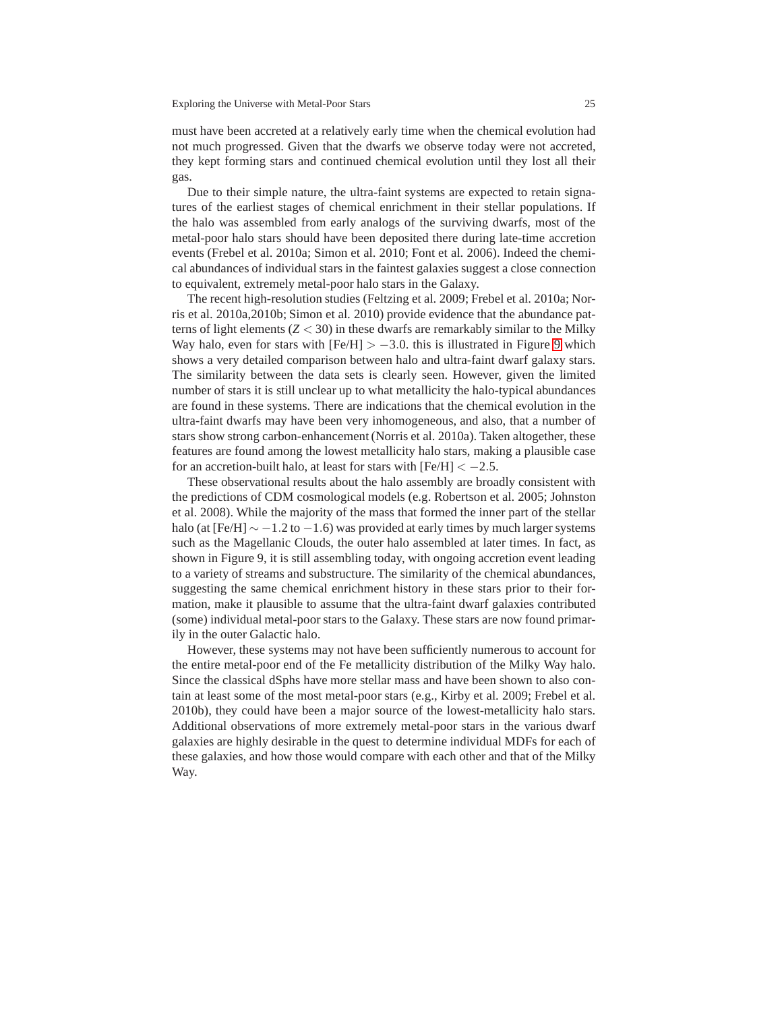must have been accreted at a relatively early time when the chemical evolution had not much progressed. Given that the dwarfs we observe today were not accreted, they kept forming stars and continued chemical evolution until they lost all their gas.

Due to their simple nature, the ultra-faint systems are expected to retain signatures of the earliest stages of chemical enrichment in their stellar populations. If the halo was assembled from early analogs of the surviving dwarfs, most of the metal-poor halo stars should have been deposited there during late-time accretion events (Frebel et al. 2010a; Simon et al. 2010; Font et al. 2006). Indeed the chemical abundances of individual stars in the faintest galaxies suggest a close connection to equivalent, extremely metal-poor halo stars in the Galaxy.

The recent high-resolution studies (Feltzing et al. 2009; Frebel et al. 2010a; Norris et al. 2010a,2010b; Simon et al. 2010) provide evidence that the abundance patterns of light elements  $(Z < 30)$  in these dwarfs are remarkably similar to the Milky Way halo, even for stars with  $[Fe/H] > -3.0$ . this is illustrated in Figure [9](#page-20-0) which shows a very detailed comparison between halo and ultra-faint dwarf galaxy stars. The similarity between the data sets is clearly seen. However, given the limited number of stars it is still unclear up to what metallicity the halo-typical abundances are found in these systems. There are indications that the chemical evolution in the ultra-faint dwarfs may have been very inhomogeneous, and also, that a number of stars show strong carbon-enhancement (Norris et al. 2010a). Taken altogether, these features are found among the lowest metallicity halo stars, making a plausible case for an accretion-built halo, at least for stars with  $[Fe/H] < -2.5$ .

These observational results about the halo assembly are broadly consistent with the predictions of CDM cosmological models (e.g. Robertson et al. 2005; Johnston et al. 2008). While the majority of the mass that formed the inner part of the stellar halo (at  $[Fe/H] \sim -1.2$  to  $-1.6$ ) was provided at early times by much larger systems such as the Magellanic Clouds, the outer halo assembled at later times. In fact, as shown in Figure 9, it is still assembling today, with ongoing accretion event leading to a variety of streams and substructure. The similarity of the chemical abundances, suggesting the same chemical enrichment history in these stars prior to their formation, make it plausible to assume that the ultra-faint dwarf galaxies contributed (some) individual metal-poor stars to the Galaxy. These stars are now found primarily in the outer Galactic halo.

However, these systems may not have been sufficiently numerous to account for the entire metal-poor end of the Fe metallicity distribution of the Milky Way halo. Since the classical dSphs have more stellar mass and have been shown to also contain at least some of the most metal-poor stars (e.g., Kirby et al. 2009; Frebel et al. 2010b), they could have been a major source of the lowest-metallicity halo stars. Additional observations of more extremely metal-poor stars in the various dwarf galaxies are highly desirable in the quest to determine individual MDFs for each of these galaxies, and how those would compare with each other and that of the Milky Way.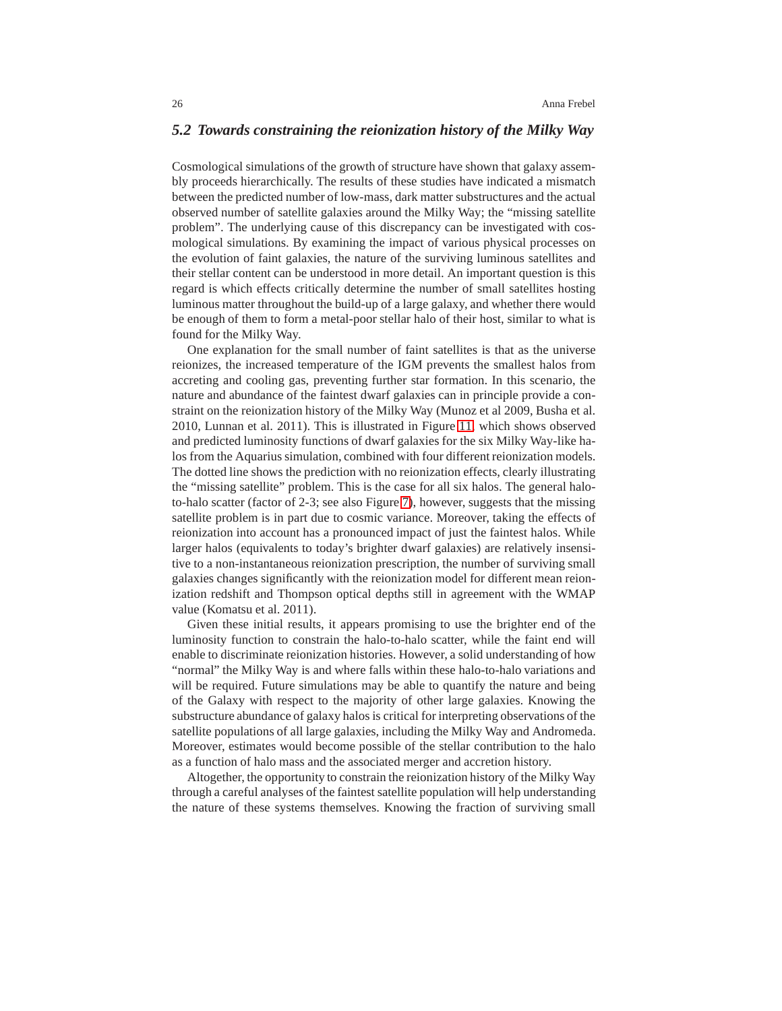### *5.2 Towards constraining the reionization history of the Milky Way*

Cosmological simulations of the growth of structure have shown that galaxy assembly proceeds hierarchically. The results of these studies have indicated a mismatch between the predicted number of low-mass, dark matter substructures and the actual observed number of satellite galaxies around the Milky Way; the "missing satellite problem". The underlying cause of this discrepancy can be investigated with cosmological simulations. By examining the impact of various physical processes on the evolution of faint galaxies, the nature of the surviving luminous satellites and their stellar content can be understood in more detail. An important question is this regard is which effects critically determine the number of small satellites hosting luminous matter throughout the build-up of a large galaxy, and whether there would be enough of them to form a metal-poor stellar halo of their host, similar to what is found for the Milky Way.

One explanation for the small number of faint satellites is that as the universe reionizes, the increased temperature of the IGM prevents the smallest halos from accreting and cooling gas, preventing further star formation. In this scenario, the nature and abundance of the faintest dwarf galaxies can in principle provide a constraint on the reionization history of the Milky Way (Munoz et al 2009, Busha et al. 2010, Lunnan et al. 2011). This is illustrated in Figure [11,](#page-26-0) which shows observed and predicted luminosity functions of dwarf galaxies for the six Milky Way-like halos from the Aquarius simulation, combined with four different reionization models. The dotted line shows the prediction with no reionization effects, clearly illustrating the "missing satellite" problem. This is the case for all six halos. The general haloto-halo scatter (factor of 2-3; see also Figure [7\)](#page-17-0), however, suggests that the missing satellite problem is in part due to cosmic variance. Moreover, taking the effects of reionization into account has a pronounced impact of just the faintest halos. While larger halos (equivalents to today's brighter dwarf galaxies) are relatively insensitive to a non-instantaneous reionization prescription, the number of surviving small galaxies changes significantly with the reionization model for different mean reionization redshift and Thompson optical depths still in agreement with the WMAP value (Komatsu et al. 2011).

Given these initial results, it appears promising to use the brighter end of the luminosity function to constrain the halo-to-halo scatter, while the faint end will enable to discriminate reionization histories. However, a solid understanding of how "normal" the Milky Way is and where falls within these halo-to-halo variations and will be required. Future simulations may be able to quantify the nature and being of the Galaxy with respect to the majority of other large galaxies. Knowing the substructure abundance of galaxy halos is critical for interpreting observations of the satellite populations of all large galaxies, including the Milky Way and Andromeda. Moreover, estimates would become possible of the stellar contribution to the halo as a function of halo mass and the associated merger and accretion history.

Altogether, the opportunity to constrain the reionization history of the Milky Way through a careful analyses of the faintest satellite population will help understanding the nature of these systems themselves. Knowing the fraction of surviving small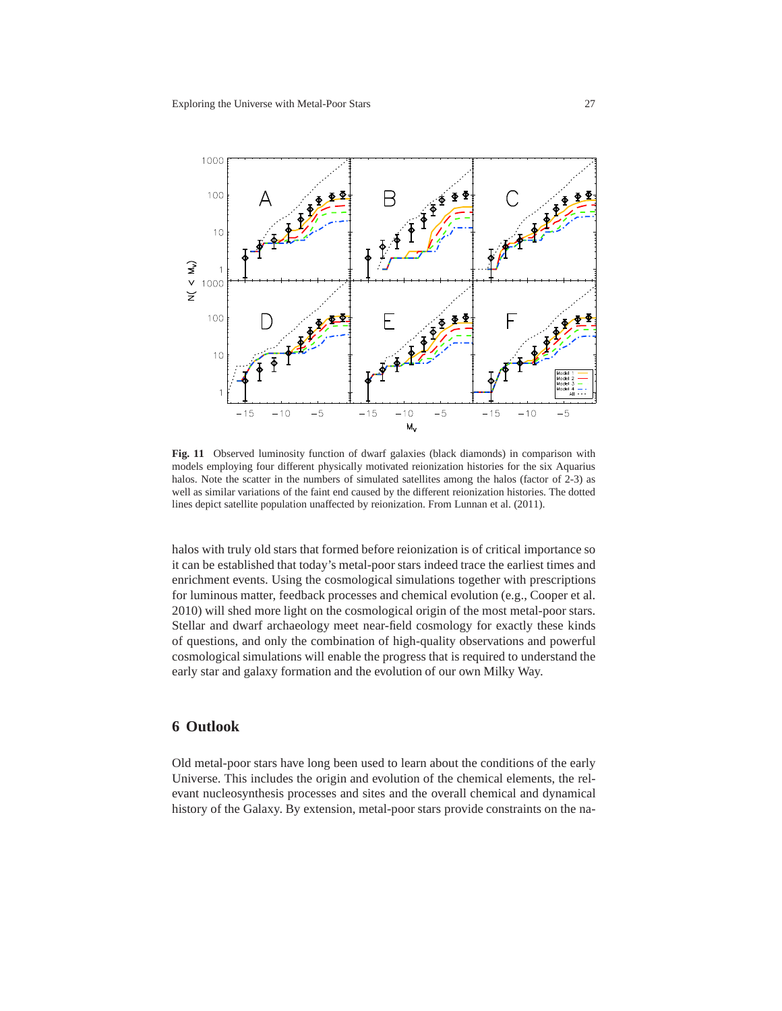

<span id="page-26-0"></span>**Fig. 11** Observed luminosity function of dwarf galaxies (black diamonds) in comparison with models employing four different physically motivated reionization histories for the six Aquarius halos. Note the scatter in the numbers of simulated satellites among the halos (factor of 2-3) as well as similar variations of the faint end caused by the different reionization histories. The dotted lines depict satellite population unaffected by reionization. From Lunnan et al. (2011).

halos with truly old stars that formed before reionization is of critical importance so it can be established that today's metal-poor stars indeed trace the earliest times and enrichment events. Using the cosmological simulations together with prescriptions for luminous matter, feedback processes and chemical evolution (e.g., Cooper et al. 2010) will shed more light on the cosmological origin of the most metal-poor stars. Stellar and dwarf archaeology meet near-field cosmology for exactly these kinds of questions, and only the combination of high-quality observations and powerful cosmological simulations will enable the progress that is required to understand the early star and galaxy formation and the evolution of our own Milky Way.

# **6 Outlook**

Old metal-poor stars have long been used to learn about the conditions of the early Universe. This includes the origin and evolution of the chemical elements, the relevant nucleosynthesis processes and sites and the overall chemical and dynamical history of the Galaxy. By extension, metal-poor stars provide constraints on the na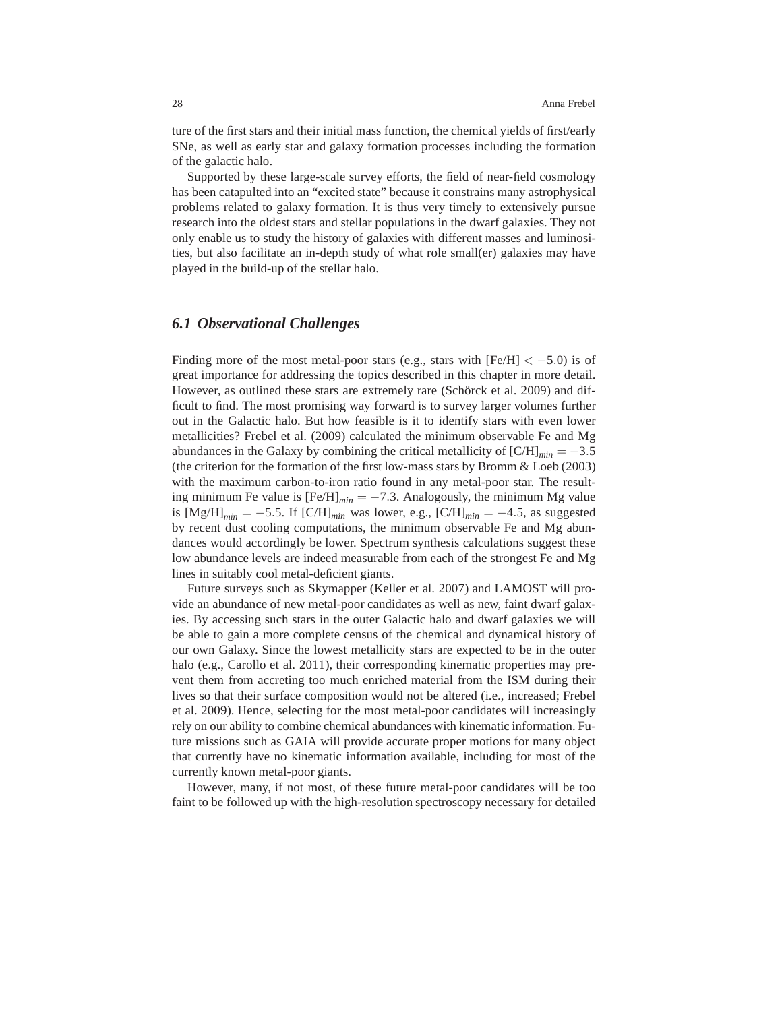ture of the first stars and their initial mass function, the chemical yields of first/early SNe, as well as early star and galaxy formation processes including the formation of the galactic halo.

Supported by these large-scale survey efforts, the field of near-field cosmology has been catapulted into an "excited state" because it constrains many astrophysical problems related to galaxy formation. It is thus very timely to extensively pursue research into the oldest stars and stellar populations in the dwarf galaxies. They not only enable us to study the history of galaxies with different masses and luminosities, but also facilitate an in-depth study of what role small(er) galaxies may have played in the build-up of the stellar halo.

# *6.1 Observational Challenges*

Finding more of the most metal-poor stars (e.g., stars with  $[Fe/H] < -5.0$ ) is of great importance for addressing the topics described in this chapter in more detail. However, as outlined these stars are extremely rare (Schörck et al. 2009) and difficult to find. The most promising way forward is to survey larger volumes further out in the Galactic halo. But how feasible is it to identify stars with even lower metallicities? Frebel et al. (2009) calculated the minimum observable Fe and Mg abundances in the Galaxy by combining the critical metallicity of  $\text{[C/H]}_{min} = -3.5$ (the criterion for the formation of the first low-mass stars by Bromm & Loeb (2003) with the maximum carbon-to-iron ratio found in any metal-poor star. The resulting minimum Fe value is  $[Fe/H]_{min} = -7.3$ . Analogously, the minimum Mg value is  $[Mg/H]_{min} = -5.5$ . If  $[CH]_{min}$  was lower, e.g.,  $[CH]_{min} = -4.5$ , as suggested by recent dust cooling computations, the minimum observable Fe and Mg abundances would accordingly be lower. Spectrum synthesis calculations suggest these low abundance levels are indeed measurable from each of the strongest Fe and Mg lines in suitably cool metal-deficient giants.

Future surveys such as Skymapper (Keller et al. 2007) and LAMOST will provide an abundance of new metal-poor candidates as well as new, faint dwarf galaxies. By accessing such stars in the outer Galactic halo and dwarf galaxies we will be able to gain a more complete census of the chemical and dynamical history of our own Galaxy. Since the lowest metallicity stars are expected to be in the outer halo (e.g., Carollo et al. 2011), their corresponding kinematic properties may prevent them from accreting too much enriched material from the ISM during their lives so that their surface composition would not be altered (i.e., increased; Frebel et al. 2009). Hence, selecting for the most metal-poor candidates will increasingly rely on our ability to combine chemical abundances with kinematic information. Future missions such as GAIA will provide accurate proper motions for many object that currently have no kinematic information available, including for most of the currently known metal-poor giants.

However, many, if not most, of these future metal-poor candidates will be too faint to be followed up with the high-resolution spectroscopy necessary for detailed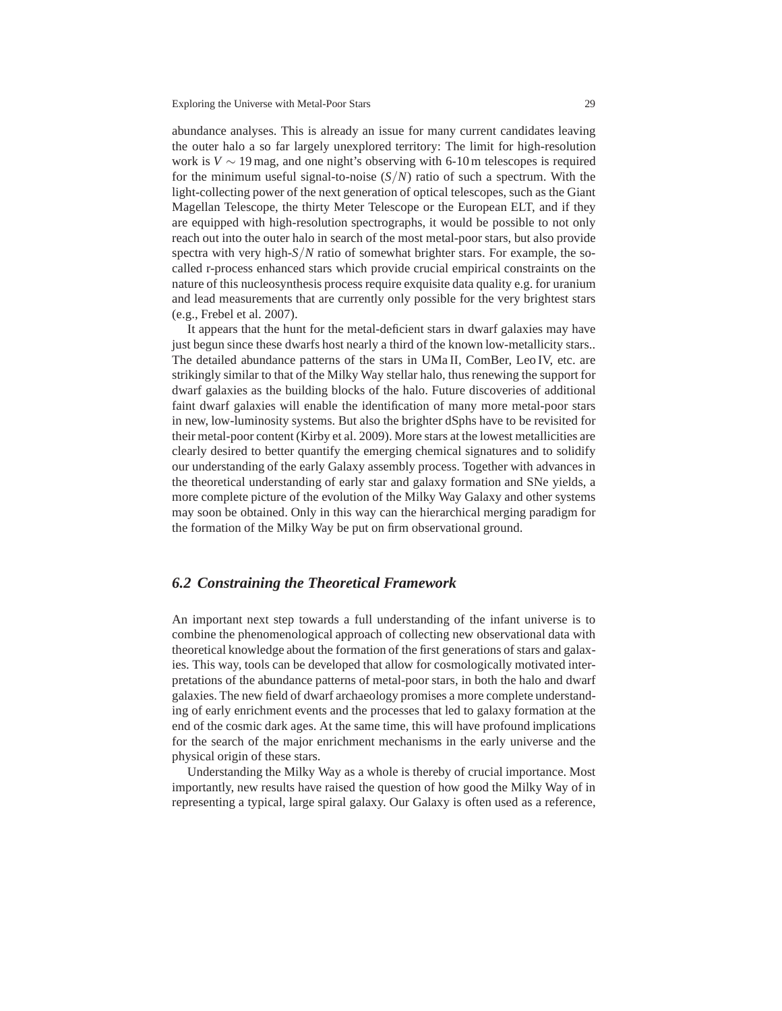abundance analyses. This is already an issue for many current candidates leaving the outer halo a so far largely unexplored territory: The limit for high-resolution work is *V* ∼ 19 mag, and one night's observing with 6-10 m telescopes is required for the minimum useful signal-to-noise  $(S/N)$  ratio of such a spectrum. With the light-collecting power of the next generation of optical telescopes, such as the Giant Magellan Telescope, the thirty Meter Telescope or the European ELT, and if they are equipped with high-resolution spectrographs, it would be possible to not only reach out into the outer halo in search of the most metal-poor stars, but also provide spectra with very high-*S*/*N* ratio of somewhat brighter stars. For example, the socalled r-process enhanced stars which provide crucial empirical constraints on the nature of this nucleosynthesis process require exquisite data quality e.g. for uranium and lead measurements that are currently only possible for the very brightest stars (e.g., Frebel et al. 2007).

It appears that the hunt for the metal-deficient stars in dwarf galaxies may have just begun since these dwarfs host nearly a third of the known low-metallicity stars.. The detailed abundance patterns of the stars in UMa II, ComBer, Leo IV, etc. are strikingly similar to that of the Milky Way stellar halo, thus renewing the support for dwarf galaxies as the building blocks of the halo. Future discoveries of additional faint dwarf galaxies will enable the identification of many more metal-poor stars in new, low-luminosity systems. But also the brighter dSphs have to be revisited for their metal-poor content (Kirby et al. 2009). More stars at the lowest metallicities are clearly desired to better quantify the emerging chemical signatures and to solidify our understanding of the early Galaxy assembly process. Together with advances in the theoretical understanding of early star and galaxy formation and SNe yields, a more complete picture of the evolution of the Milky Way Galaxy and other systems may soon be obtained. Only in this way can the hierarchical merging paradigm for the formation of the Milky Way be put on firm observational ground.

# *6.2 Constraining the Theoretical Framework*

An important next step towards a full understanding of the infant universe is to combine the phenomenological approach of collecting new observational data with theoretical knowledge about the formation of the first generations of stars and galaxies. This way, tools can be developed that allow for cosmologically motivated interpretations of the abundance patterns of metal-poor stars, in both the halo and dwarf galaxies. The new field of dwarf archaeology promises a more complete understanding of early enrichment events and the processes that led to galaxy formation at the end of the cosmic dark ages. At the same time, this will have profound implications for the search of the major enrichment mechanisms in the early universe and the physical origin of these stars.

Understanding the Milky Way as a whole is thereby of crucial importance. Most importantly, new results have raised the question of how good the Milky Way of in representing a typical, large spiral galaxy. Our Galaxy is often used as a reference,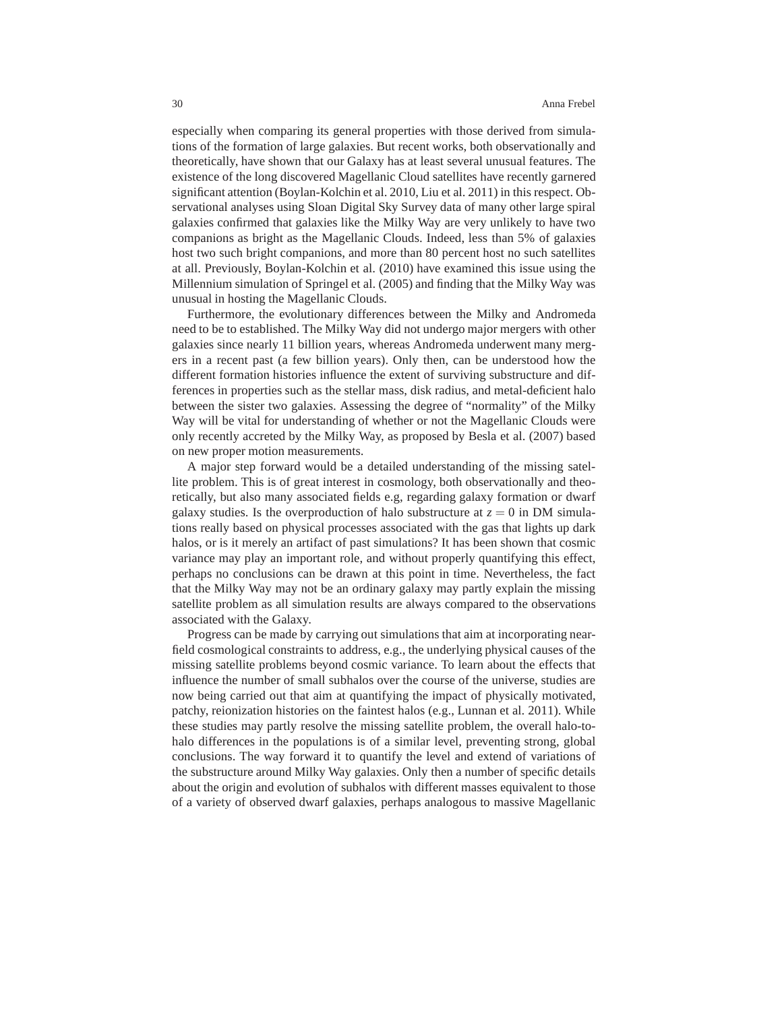especially when comparing its general properties with those derived from simulations of the formation of large galaxies. But recent works, both observationally and theoretically, have shown that our Galaxy has at least several unusual features. The existence of the long discovered Magellanic Cloud satellites have recently garnered significant attention (Boylan-Kolchin et al. 2010, Liu et al. 2011) in this respect. Observational analyses using Sloan Digital Sky Survey data of many other large spiral galaxies confirmed that galaxies like the Milky Way are very unlikely to have two companions as bright as the Magellanic Clouds. Indeed, less than 5% of galaxies host two such bright companions, and more than 80 percent host no such satellites at all. Previously, Boylan-Kolchin et al. (2010) have examined this issue using the Millennium simulation of Springel et al. (2005) and finding that the Milky Way was unusual in hosting the Magellanic Clouds.

Furthermore, the evolutionary differences between the Milky and Andromeda need to be to established. The Milky Way did not undergo major mergers with other galaxies since nearly 11 billion years, whereas Andromeda underwent many mergers in a recent past (a few billion years). Only then, can be understood how the different formation histories influence the extent of surviving substructure and differences in properties such as the stellar mass, disk radius, and metal-deficient halo between the sister two galaxies. Assessing the degree of "normality" of the Milky Way will be vital for understanding of whether or not the Magellanic Clouds were only recently accreted by the Milky Way, as proposed by Besla et al. (2007) based on new proper motion measurements.

A major step forward would be a detailed understanding of the missing satellite problem. This is of great interest in cosmology, both observationally and theoretically, but also many associated fields e.g, regarding galaxy formation or dwarf galaxy studies. Is the overproduction of halo substructure at  $z = 0$  in DM simulations really based on physical processes associated with the gas that lights up dark halos, or is it merely an artifact of past simulations? It has been shown that cosmic variance may play an important role, and without properly quantifying this effect, perhaps no conclusions can be drawn at this point in time. Nevertheless, the fact that the Milky Way may not be an ordinary galaxy may partly explain the missing satellite problem as all simulation results are always compared to the observations associated with the Galaxy.

Progress can be made by carrying out simulations that aim at incorporating nearfield cosmological constraints to address, e.g., the underlying physical causes of the missing satellite problems beyond cosmic variance. To learn about the effects that influence the number of small subhalos over the course of the universe, studies are now being carried out that aim at quantifying the impact of physically motivated, patchy, reionization histories on the faintest halos (e.g., Lunnan et al. 2011). While these studies may partly resolve the missing satellite problem, the overall halo-tohalo differences in the populations is of a similar level, preventing strong, global conclusions. The way forward it to quantify the level and extend of variations of the substructure around Milky Way galaxies. Only then a number of specific details about the origin and evolution of subhalos with different masses equivalent to those of a variety of observed dwarf galaxies, perhaps analogous to massive Magellanic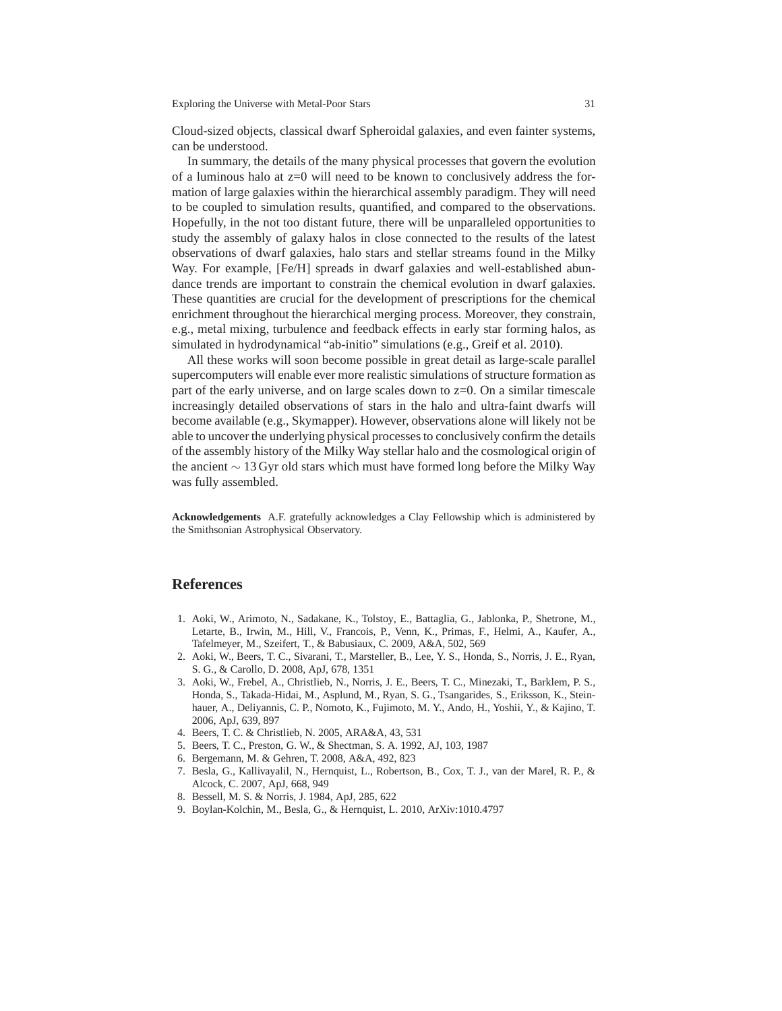Cloud-sized objects, classical dwarf Spheroidal galaxies, and even fainter systems, can be understood.

In summary, the details of the many physical processes that govern the evolution of a luminous halo at  $z=0$  will need to be known to conclusively address the formation of large galaxies within the hierarchical assembly paradigm. They will need to be coupled to simulation results, quantified, and compared to the observations. Hopefully, in the not too distant future, there will be unparalleled opportunities to study the assembly of galaxy halos in close connected to the results of the latest observations of dwarf galaxies, halo stars and stellar streams found in the Milky Way. For example, [Fe/H] spreads in dwarf galaxies and well-established abundance trends are important to constrain the chemical evolution in dwarf galaxies. These quantities are crucial for the development of prescriptions for the chemical enrichment throughout the hierarchical merging process. Moreover, they constrain, e.g., metal mixing, turbulence and feedback effects in early star forming halos, as simulated in hydrodynamical "ab-initio" simulations (e.g., Greif et al. 2010).

All these works will soon become possible in great detail as large-scale parallel supercomputers will enable ever more realistic simulations of structure formation as part of the early universe, and on large scales down to  $z=0$ . On a similar timescale increasingly detailed observations of stars in the halo and ultra-faint dwarfs will become available (e.g., Skymapper). However, observations alone will likely not be able to uncover the underlying physical processes to conclusively confirm the details of the assembly history of the Milky Way stellar halo and the cosmological origin of the ancient ∼ 13 Gyr old stars which must have formed long before the Milky Way was fully assembled.

**Acknowledgements** A.F. gratefully acknowledges a Clay Fellowship which is administered by the Smithsonian Astrophysical Observatory.

### **References**

- 1. Aoki, W., Arimoto, N., Sadakane, K., Tolstoy, E., Battaglia, G., Jablonka, P., Shetrone, M., Letarte, B., Irwin, M., Hill, V., Francois, P., Venn, K., Primas, F., Helmi, A., Kaufer, A., Tafelmeyer, M., Szeifert, T., & Babusiaux, C. 2009, A&A, 502, 569
- 2. Aoki, W., Beers, T. C., Sivarani, T., Marsteller, B., Lee, Y. S., Honda, S., Norris, J. E., Ryan, S. G., & Carollo, D. 2008, ApJ, 678, 1351
- 3. Aoki, W., Frebel, A., Christlieb, N., Norris, J. E., Beers, T. C., Minezaki, T., Barklem, P. S., Honda, S., Takada-Hidai, M., Asplund, M., Ryan, S. G., Tsangarides, S., Eriksson, K., Steinhauer, A., Deliyannis, C. P., Nomoto, K., Fujimoto, M. Y., Ando, H., Yoshii, Y., & Kajino, T. 2006, ApJ, 639, 897
- 4. Beers, T. C. & Christlieb, N. 2005, ARA&A, 43, 531
- 5. Beers, T. C., Preston, G. W., & Shectman, S. A. 1992, AJ, 103, 1987
- 6. Bergemann, M. & Gehren, T. 2008, A&A, 492, 823
- 7. Besla, G., Kallivayalil, N., Hernquist, L., Robertson, B., Cox, T. J., van der Marel, R. P., & Alcock, C. 2007, ApJ, 668, 949
- 8. Bessell, M. S. & Norris, J. 1984, ApJ, 285, 622
- 9. Boylan-Kolchin, M., Besla, G., & Hernquist, L. 2010, ArXiv:1010.4797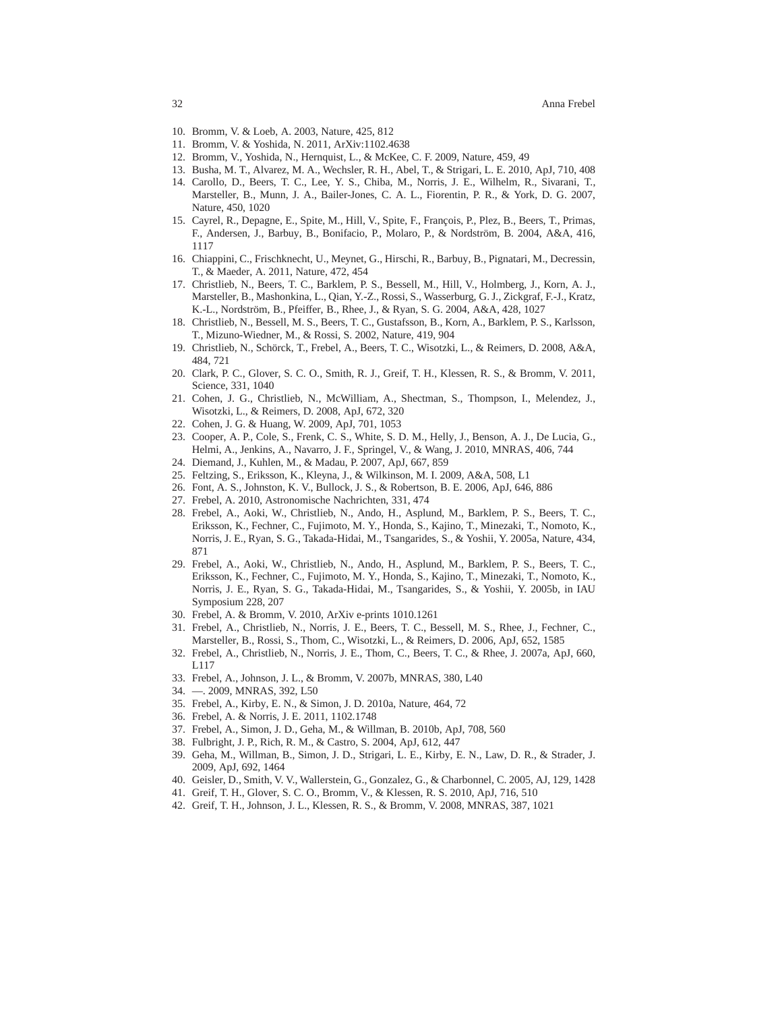- 10. Bromm, V. & Loeb, A. 2003, Nature, 425, 812
- 11. Bromm, V. & Yoshida, N. 2011, ArXiv:1102.4638
- 12. Bromm, V., Yoshida, N., Hernquist, L., & McKee, C. F. 2009, Nature, 459, 49
- 13. Busha, M. T., Alvarez, M. A., Wechsler, R. H., Abel, T., & Strigari, L. E. 2010, ApJ, 710, 408
- 14. Carollo, D., Beers, T. C., Lee, Y. S., Chiba, M., Norris, J. E., Wilhelm, R., Sivarani, T., Marsteller, B., Munn, J. A., Bailer-Jones, C. A. L., Fiorentin, P. R., & York, D. G. 2007, Nature, 450, 1020
- 15. Cayrel, R., Depagne, E., Spite, M., Hill, V., Spite, F., François, P., Plez, B., Beers, T., Primas, F., Andersen, J., Barbuy, B., Bonifacio, P., Molaro, P., & Nordström, B. 2004, A&A, 416, 1117
- 16. Chiappini, C., Frischknecht, U., Meynet, G., Hirschi, R., Barbuy, B., Pignatari, M., Decressin, T., & Maeder, A. 2011, Nature, 472, 454
- 17. Christlieb, N., Beers, T. C., Barklem, P. S., Bessell, M., Hill, V., Holmberg, J., Korn, A. J., Marsteller, B., Mashonkina, L., Qian, Y.-Z., Rossi, S., Wasserburg, G. J., Zickgraf, F.-J., Kratz, K.-L., Nordström, B., Pfeiffer, B., Rhee, J., & Ryan, S. G. 2004, A&A, 428, 1027
- 18. Christlieb, N., Bessell, M. S., Beers, T. C., Gustafsson, B., Korn, A., Barklem, P. S., Karlsson, T., Mizuno-Wiedner, M., & Rossi, S. 2002, Nature, 419, 904
- 19. Christlieb, N., Schörck, T., Frebel, A., Beers, T. C., Wisotzki, L., & Reimers, D. 2008, A&A, 484, 721
- 20. Clark, P. C., Glover, S. C. O., Smith, R. J., Greif, T. H., Klessen, R. S., & Bromm, V. 2011, Science, 331, 1040
- 21. Cohen, J. G., Christlieb, N., McWilliam, A., Shectman, S., Thompson, I., Melendez, J., Wisotzki, L., & Reimers, D. 2008, ApJ, 672, 320
- 22. Cohen, J. G. & Huang, W. 2009, ApJ, 701, 1053
- 23. Cooper, A. P., Cole, S., Frenk, C. S., White, S. D. M., Helly, J., Benson, A. J., De Lucia, G., Helmi, A., Jenkins, A., Navarro, J. F., Springel, V., & Wang, J. 2010, MNRAS, 406, 744
- 24. Diemand, J., Kuhlen, M., & Madau, P. 2007, ApJ, 667, 859
- 25. Feltzing, S., Eriksson, K., Kleyna, J., & Wilkinson, M. I. 2009, A&A, 508, L1
- 26. Font, A. S., Johnston, K. V., Bullock, J. S., & Robertson, B. E. 2006, ApJ, 646, 886
- 27. Frebel, A. 2010, Astronomische Nachrichten, 331, 474
- 28. Frebel, A., Aoki, W., Christlieb, N., Ando, H., Asplund, M., Barklem, P. S., Beers, T. C., Eriksson, K., Fechner, C., Fujimoto, M. Y., Honda, S., Kajino, T., Minezaki, T., Nomoto, K., Norris, J. E., Ryan, S. G., Takada-Hidai, M., Tsangarides, S., & Yoshii, Y. 2005a, Nature, 434, 871
- 29. Frebel, A., Aoki, W., Christlieb, N., Ando, H., Asplund, M., Barklem, P. S., Beers, T. C., Eriksson, K., Fechner, C., Fujimoto, M. Y., Honda, S., Kajino, T., Minezaki, T., Nomoto, K., Norris, J. E., Ryan, S. G., Takada-Hidai, M., Tsangarides, S., & Yoshii, Y. 2005b, in IAU Symposium 228, 207
- 30. Frebel, A. & Bromm, V. 2010, ArXiv e-prints 1010.1261
- 31. Frebel, A., Christlieb, N., Norris, J. E., Beers, T. C., Bessell, M. S., Rhee, J., Fechner, C., Marsteller, B., Rossi, S., Thom, C., Wisotzki, L., & Reimers, D. 2006, ApJ, 652, 1585
- 32. Frebel, A., Christlieb, N., Norris, J. E., Thom, C., Beers, T. C., & Rhee, J. 2007a, ApJ, 660, L117
- 33. Frebel, A., Johnson, J. L., & Bromm, V. 2007b, MNRAS, 380, L40
- 34. —. 2009, MNRAS, 392, L50
- 35. Frebel, A., Kirby, E. N., & Simon, J. D. 2010a, Nature, 464, 72
- 36. Frebel, A. & Norris, J. E. 2011, 1102.1748
- 37. Frebel, A., Simon, J. D., Geha, M., & Willman, B. 2010b, ApJ, 708, 560
- 38. Fulbright, J. P., Rich, R. M., & Castro, S. 2004, ApJ, 612, 447
- 39. Geha, M., Willman, B., Simon, J. D., Strigari, L. E., Kirby, E. N., Law, D. R., & Strader, J. 2009, ApJ, 692, 1464
- 40. Geisler, D., Smith, V. V., Wallerstein, G., Gonzalez, G., & Charbonnel, C. 2005, AJ, 129, 1428
- 41. Greif, T. H., Glover, S. C. O., Bromm, V., & Klessen, R. S. 2010, ApJ, 716, 510
- 42. Greif, T. H., Johnson, J. L., Klessen, R. S., & Bromm, V. 2008, MNRAS, 387, 1021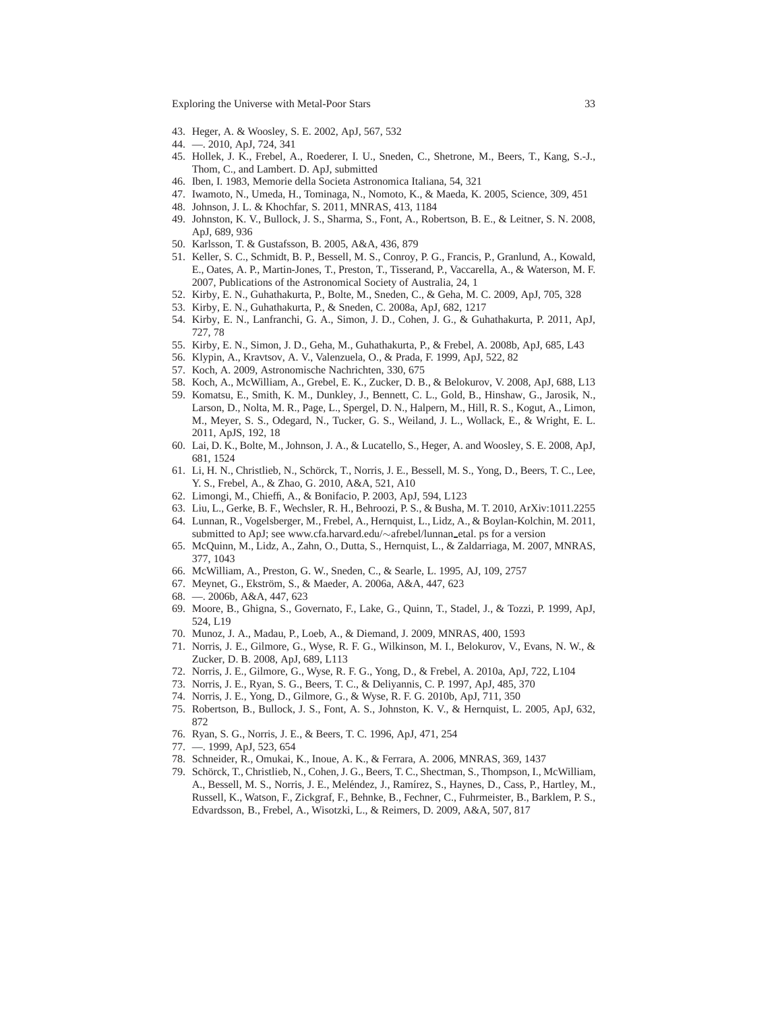Exploring the Universe with Metal-Poor Stars 33

- 43. Heger, A. & Woosley, S. E. 2002, ApJ, 567, 532
- 44. —. 2010, ApJ, 724, 341
- 45. Hollek, J. K., Frebel, A., Roederer, I. U., Sneden, C., Shetrone, M., Beers, T., Kang, S.-J., Thom, C., and Lambert. D. ApJ, submitted
- 46. Iben, I. 1983, Memorie della Societa Astronomica Italiana, 54, 321
- 47. Iwamoto, N., Umeda, H., Tominaga, N., Nomoto, K., & Maeda, K. 2005, Science, 309, 451
- 48. Johnson, J. L. & Khochfar, S. 2011, MNRAS, 413, 1184
- 49. Johnston, K. V., Bullock, J. S., Sharma, S., Font, A., Robertson, B. E., & Leitner, S. N. 2008, ApJ, 689, 936
- 50. Karlsson, T. & Gustafsson, B. 2005, A&A, 436, 879
- 51. Keller, S. C., Schmidt, B. P., Bessell, M. S., Conroy, P. G., Francis, P., Granlund, A., Kowald, E., Oates, A. P., Martin-Jones, T., Preston, T., Tisserand, P., Vaccarella, A., & Waterson, M. F. 2007, Publications of the Astronomical Society of Australia, 24, 1
- 52. Kirby, E. N., Guhathakurta, P., Bolte, M., Sneden, C., & Geha, M. C. 2009, ApJ, 705, 328
- 53. Kirby, E. N., Guhathakurta, P., & Sneden, C. 2008a, ApJ, 682, 1217
- 54. Kirby, E. N., Lanfranchi, G. A., Simon, J. D., Cohen, J. G., & Guhathakurta, P. 2011, ApJ, 727, 78
- 55. Kirby, E. N., Simon, J. D., Geha, M., Guhathakurta, P., & Frebel, A. 2008b, ApJ, 685, L43
- 56. Klypin, A., Kravtsov, A. V., Valenzuela, O., & Prada, F. 1999, ApJ, 522, 82
- 57. Koch, A. 2009, Astronomische Nachrichten, 330, 675
- 58. Koch, A., McWilliam, A., Grebel, E. K., Zucker, D. B., & Belokurov, V. 2008, ApJ, 688, L13
- 59. Komatsu, E., Smith, K. M., Dunkley, J., Bennett, C. L., Gold, B., Hinshaw, G., Jarosik, N., Larson, D., Nolta, M. R., Page, L., Spergel, D. N., Halpern, M., Hill, R. S., Kogut, A., Limon, M., Meyer, S. S., Odegard, N., Tucker, G. S., Weiland, J. L., Wollack, E., & Wright, E. L. 2011, ApJS, 192, 18
- 60. Lai, D. K., Bolte, M., Johnson, J. A., & Lucatello, S., Heger, A. and Woosley, S. E. 2008, ApJ, 681, 1524
- 61. Li, H. N., Christlieb, N., Schörck, T., Norris, J. E., Bessell, M. S., Yong, D., Beers, T. C., Lee, Y. S., Frebel, A., & Zhao, G. 2010, A&A, 521, A10
- 62. Limongi, M., Chieffi, A., & Bonifacio, P. 2003, ApJ, 594, L123
- 63. Liu, L., Gerke, B. F., Wechsler, R. H., Behroozi, P. S., & Busha, M. T. 2010, ArXiv:1011.2255
- 64. Lunnan, R., Vogelsberger, M., Frebel, A., Hernquist, L., Lidz, A., & Boylan-Kolchin, M. 2011, submitted to ApJ; see www.cfa.harvard.edu/∼afrebel/lunnan etal. ps for a version
- 65. McQuinn, M., Lidz, A., Zahn, O., Dutta, S., Hernquist, L., & Zaldarriaga, M. 2007, MNRAS, 377, 1043
- 66. McWilliam, A., Preston, G. W., Sneden, C., & Searle, L. 1995, AJ, 109, 2757
- 67. Meynet, G., Ekström, S., & Maeder, A. 2006a, A&A, 447, 623
- 68. —. 2006b, A&A, 447, 623
- 69. Moore, B., Ghigna, S., Governato, F., Lake, G., Quinn, T., Stadel, J., & Tozzi, P. 1999, ApJ, 524, L19
- 70. Munoz, J. A., Madau, P., Loeb, A., & Diemand, J. 2009, MNRAS, 400, 1593
- 71. Norris, J. E., Gilmore, G., Wyse, R. F. G., Wilkinson, M. I., Belokurov, V., Evans, N. W., & Zucker, D. B. 2008, ApJ, 689, L113
- 72. Norris, J. E., Gilmore, G., Wyse, R. F. G., Yong, D., & Frebel, A. 2010a, ApJ, 722, L104
- 73. Norris, J. E., Ryan, S. G., Beers, T. C., & Deliyannis, C. P. 1997, ApJ, 485, 370
- 74. Norris, J. E., Yong, D., Gilmore, G., & Wyse, R. F. G. 2010b, ApJ, 711, 350
- 75. Robertson, B., Bullock, J. S., Font, A. S., Johnston, K. V., & Hernquist, L. 2005, ApJ, 632, 872
- 76. Ryan, S. G., Norris, J. E., & Beers, T. C. 1996, ApJ, 471, 254
- 77. —. 1999, ApJ, 523, 654
- 78. Schneider, R., Omukai, K., Inoue, A. K., & Ferrara, A. 2006, MNRAS, 369, 1437
- 79. Schörck, T., Christlieb, N., Cohen, J. G., Beers, T. C., Shectman, S., Thompson, I., McWilliam, A., Bessell, M. S., Norris, J. E., Meléndez, J., Ramírez, S., Haynes, D., Cass, P., Hartley, M., Russell, K., Watson, F., Zickgraf, F., Behnke, B., Fechner, C., Fuhrmeister, B., Barklem, P. S., Edvardsson, B., Frebel, A., Wisotzki, L., & Reimers, D. 2009, A&A, 507, 817